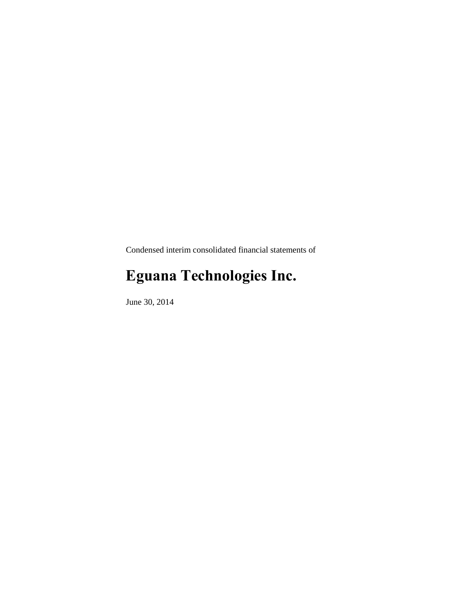Condensed interim consolidated financial statements of

# **Eguana Technologies Inc.**

June 30, 2014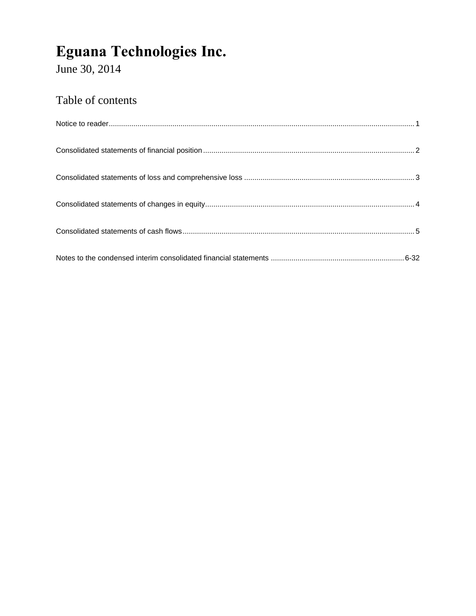June 30, 2014

### Table of contents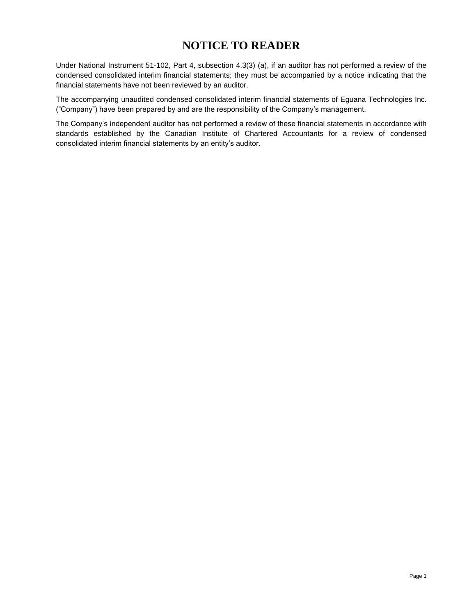### **NOTICE TO READER**

Under National Instrument 51-102, Part 4, subsection 4.3(3) (a), if an auditor has not performed a review of the condensed consolidated interim financial statements; they must be accompanied by a notice indicating that the financial statements have not been reviewed by an auditor.

The accompanying unaudited condensed consolidated interim financial statements of Eguana Technologies Inc. ("Company") have been prepared by and are the responsibility of the Company's management.

The Company's independent auditor has not performed a review of these financial statements in accordance with standards established by the Canadian Institute of Chartered Accountants for a review of condensed consolidated interim financial statements by an entity's auditor.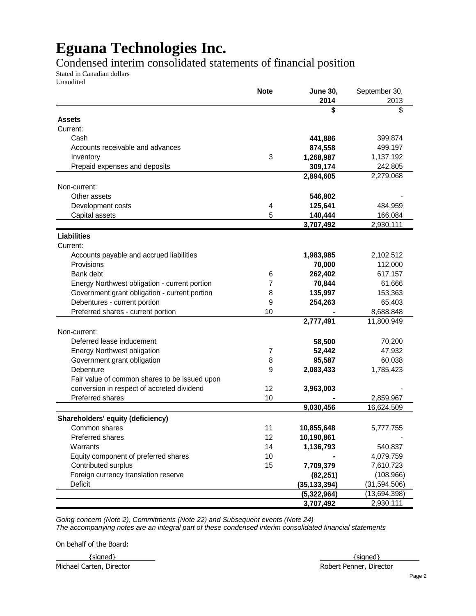### Condensed interim consolidated statements of financial position

Stated in Canadian dollars Unaudited

|                                               | <b>Note</b> | <b>June 30,</b> | September 30,  |
|-----------------------------------------------|-------------|-----------------|----------------|
|                                               |             | 2014            | 2013           |
|                                               |             | \$              | \$             |
| Assets                                        |             |                 |                |
| Current:                                      |             |                 |                |
| Cash                                          |             | 441,886         | 399,874        |
| Accounts receivable and advances              |             | 874,558         | 499,197        |
| Inventory                                     | 3           | 1,268,987       | 1,137,192      |
| Prepaid expenses and deposits                 |             | 309,174         | 242,805        |
|                                               |             | 2,894,605       | 2,279,068      |
| Non-current:                                  |             |                 |                |
| Other assets                                  |             | 546,802         |                |
| Development costs                             | 4           | 125,641         | 484,959        |
| Capital assets                                | 5           | 140,444         | 166,084        |
|                                               |             | 3,707,492       | 2,930,111      |
| <b>Liabilities</b>                            |             |                 |                |
| Current:                                      |             |                 |                |
| Accounts payable and accrued liabilities      |             | 1,983,985       | 2,102,512      |
| Provisions                                    |             | 70,000          | 112,000        |
| Bank debt                                     | 6           | 262,402         | 617,157        |
| Energy Northwest obligation - current portion | 7           | 70,844          | 61,666         |
| Government grant obligation - current portion | 8           | 135,997         | 153,363        |
| Debentures - current portion                  | 9           | 254,263         | 65,403         |
| Preferred shares - current portion            | 10          |                 | 8,688,848      |
|                                               |             | 2,777,491       | 11,800,949     |
|                                               |             |                 |                |
| Non-current:                                  |             |                 |                |
| Deferred lease inducement                     |             | 58,500          | 70,200         |
| <b>Energy Northwest obligation</b>            | 7           | 52,442          | 47,932         |
| Government grant obligation                   | 8           | 95,587          | 60,038         |
| Debenture                                     | 9           | 2,083,433       | 1,785,423      |
| Fair value of common shares to be issued upon |             |                 |                |
| conversion in respect of accreted dividend    | 12          | 3,963,003       |                |
| Preferred shares                              | 10          |                 | 2,859,967      |
|                                               |             | 9,030,456       | 16,624,509     |
| Shareholders' equity (deficiency)             |             |                 |                |
| Common shares                                 | 11          | 10,855,648      | 5,777,755      |
| Preferred shares                              | 12          | 10,190,861      |                |
| Warrants                                      | 14          | 1,136,793       | 540,837        |
| Equity component of preferred shares          | 10          |                 | 4,079,759      |
| Contributed surplus                           | 15          | 7,709,379       | 7,610,723      |
| Foreign currency translation reserve          |             | (82, 251)       | (108, 966)     |
| <b>Deficit</b>                                |             | (35, 133, 394)  | (31, 594, 506) |
|                                               |             | (5,322,964)     | (13,694,398)   |
|                                               |             | 3,707,492       | 2,930,111      |

*Going concern (Note 2), Commitments (Note 22) and Subsequent events (Note 24) The accompanying notes are an integral part of these condensed interim consolidated financial statements*

On behalf of the Board:

Michael Carten, Director **Robert Penner, Director** Robert Penner, Director

 $\{ \text{signed} \}$   $\{ \text{signed} \}$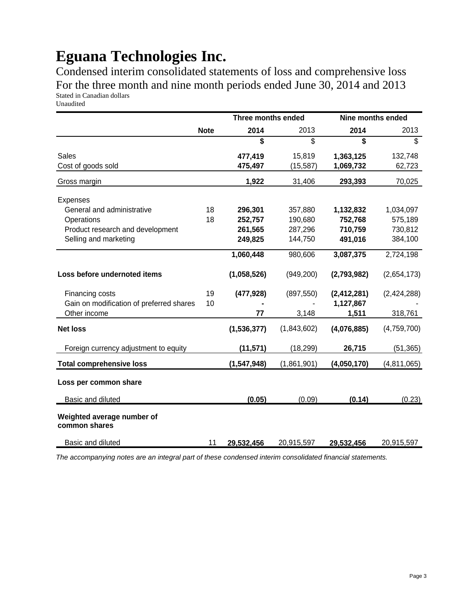Condensed interim consolidated statements of loss and comprehensive loss For the three month and nine month periods ended June 30, 2014 and 2013 Stated in Canadian dollars Unaudited

|                                             |             | <b>Three months ended</b> |             | Nine months ended |             |
|---------------------------------------------|-------------|---------------------------|-------------|-------------------|-------------|
|                                             | <b>Note</b> | 2014                      | 2013        | 2014              | 2013        |
|                                             |             | \$                        | \$          | \$                | \$          |
| <b>Sales</b>                                |             | 477,419                   | 15,819      | 1,363,125         | 132,748     |
| Cost of goods sold                          |             | 475,497                   | (15,587)    | 1,069,732         | 62,723      |
| Gross margin                                |             | 1,922                     | 31,406      | 293,393           | 70,025      |
| <b>Expenses</b>                             |             |                           |             |                   |             |
| General and administrative                  | 18          | 296,301                   | 357,880     | 1,132,832         | 1,034,097   |
| Operations                                  | 18          | 252,757                   | 190,680     | 752,768           | 575,189     |
| Product research and development            |             | 261,565                   | 287,296     | 710,759           | 730,812     |
| Selling and marketing                       |             | 249,825                   | 144,750     | 491,016           | 384,100     |
|                                             |             | 1,060,448                 | 980,606     | 3,087,375         | 2,724,198   |
| Loss before undernoted items                |             | (1,058,526)               | (949, 200)  | (2,793,982)       | (2,654,173) |
| Financing costs                             | 19          | (477, 928)                | (897, 550)  | (2, 412, 281)     | (2,424,288) |
| Gain on modification of preferred shares    | 10          |                           |             | 1,127,867         |             |
| Other income                                |             | 77                        | 3,148       | 1,511             | 318,761     |
| <b>Net loss</b>                             |             | (1,536,377)               | (1,843,602) | (4,076,885)       | (4,759,700) |
| Foreign currency adjustment to equity       |             | (11, 571)                 | (18, 299)   | 26,715            | (51, 365)   |
| <b>Total comprehensive loss</b>             |             | (1, 547, 948)             | (1,861,901) | (4,050,170)       | (4,811,065) |
| Loss per common share                       |             |                           |             |                   |             |
| <b>Basic and diluted</b>                    |             | (0.05)                    | (0.09)      | (0.14)            | (0.23)      |
| Weighted average number of<br>common shares |             |                           |             |                   |             |
| <b>Basic and diluted</b>                    | 11          | 29,532,456                | 20,915,597  | 29,532,456        | 20,915,597  |

*The accompanying notes are an integral part of these condensed interim consolidated financial statements.*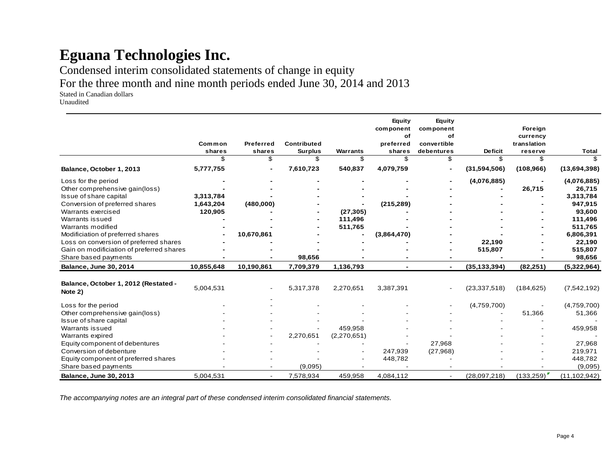Condensed interim consolidated statements of change in equity

For the three month and nine month periods ended June 30, 2014 and 2013

Stated in Canadian dollars

Unaudited

|                                                 |            |                          |                    |             | Equity<br>component<br>of | Equity<br>component<br>of |                | Foreign<br>currency |                |
|-------------------------------------------------|------------|--------------------------|--------------------|-------------|---------------------------|---------------------------|----------------|---------------------|----------------|
|                                                 | Common     | <b>Preferred</b>         | <b>Contributed</b> |             | preferred                 | convertible               |                | translation         |                |
|                                                 | shares     | shares                   | <b>Surplus</b>     | Warrants    | shares                    | debentures                | <b>Deficit</b> | reserve             | <b>Total</b>   |
|                                                 | \$         | \$.                      | \$.                | \$          | \$.                       | \$                        | \$.            | \$.                 | \$             |
| Balance, October 1, 2013                        | 5,777,755  |                          | 7,610,723          | 540,837     | 4,079,759                 |                           | (31,594,506)   | (108, 966)          | (13,694,398)   |
| Loss for the period                             |            |                          |                    |             |                           |                           | (4,076,885)    |                     | (4,076,885)    |
| Other comprehensive gain(loss)                  |            |                          |                    |             |                           |                           |                | 26,715              | 26,715         |
| Issue of share capital                          | 3,313,784  |                          |                    |             |                           |                           |                |                     | 3,313,784      |
| Conversion of preferred shares                  | 1,643,204  | (480,000)                |                    |             | (215, 289)                |                           |                |                     | 947,915        |
| Warrants exercised                              | 120,905    |                          |                    | (27, 305)   |                           |                           |                |                     | 93,600         |
| Warrants issued                                 |            |                          |                    | 111,496     |                           |                           |                |                     | 111,496        |
| Warrants modified                               |            |                          |                    | 511,765     |                           |                           |                |                     | 511,765        |
| Modificiation of preferred shares               |            | 10,670,861               |                    |             | (3,864,470)               |                           |                |                     | 6,806,391      |
| Loss on conversion of preferred shares          |            |                          |                    |             |                           |                           | 22,190         |                     | 22,190         |
| Gain on modificiation of preferred shares       |            |                          |                    |             |                           |                           | 515,807        |                     | 515,807        |
| Share based payments                            |            |                          | 98,656             |             |                           |                           |                |                     | 98,656         |
| <b>Balance, June 30, 2014</b>                   | 10,855,648 | 10,190,861               | 7,709,379          | 1,136,793   |                           | $\blacksquare$            | (35, 133, 394) | (82, 251)           | (5,322,964)    |
| Balance, October 1, 2012 (Restated -<br>Note 2) | 5,004,531  |                          | 5,317,378          | 2,270,651   | 3,387,391                 |                           | (23, 337, 518) | (184, 625)          | (7,542,192)    |
| Loss for the period                             |            |                          |                    |             |                           |                           | (4,759,700)    |                     | (4,759,700)    |
| Other comprehensive gain(loss)                  |            |                          |                    |             |                           |                           |                | 51,366              | 51,366         |
| Issue of share capital                          |            |                          |                    |             |                           |                           |                |                     |                |
| Warrants issued                                 |            |                          |                    | 459,958     |                           |                           |                |                     | 459,958        |
| Warrants expired                                |            |                          | 2,270,651          | (2,270,651) |                           |                           |                |                     |                |
| Equity component of debentures                  |            |                          |                    |             |                           | 27,968                    |                |                     | 27,968         |
| Conversion of debenture                         |            |                          |                    |             | 247,939                   | (27, 968)                 |                |                     | 219,971        |
| Equity component of preferred shares            |            |                          |                    |             | 448,782                   |                           |                |                     | 448,782        |
| Share based payments                            |            |                          | (9,095)            |             |                           |                           |                |                     | (9,095)        |
| Balance, June 30, 2013                          | 5,004,531  | $\overline{\phantom{a}}$ | 7,578,934          | 459.958     | 4,084,112                 | $\blacksquare$            | (28,097,218)   | (133, 259)          | (11, 102, 942) |

*The accompanying notes are an integral part of these condensed interim consolidated financial statements.*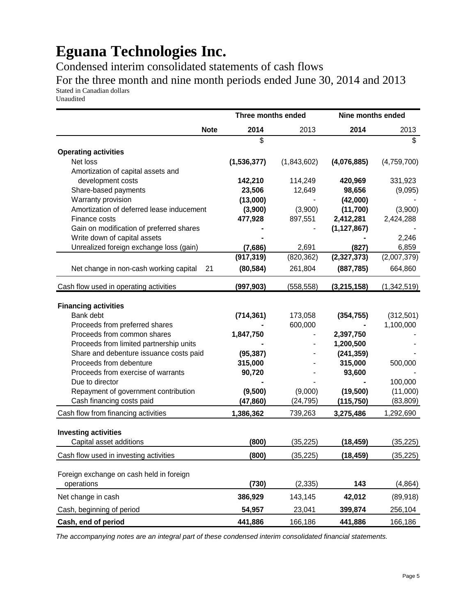Condensed interim consolidated statements of cash flows

For the three month and nine month periods ended June 30, 2014 and 2013 Stated in Canadian dollars

Unaudited

|                                              | Three months ended |             | Nine months ended |             |
|----------------------------------------------|--------------------|-------------|-------------------|-------------|
| <b>Note</b>                                  | 2014               | 2013        | 2014              | 2013        |
|                                              | \$                 |             |                   | \$          |
| <b>Operating activities</b>                  |                    |             |                   |             |
| Net loss                                     | (1,536,377)        | (1,843,602) | (4,076,885)       | (4,759,700) |
| Amortization of capital assets and           |                    |             |                   |             |
| development costs                            | 142,210            | 114,249     | 420,969           | 331,923     |
| Share-based payments                         | 23,506             | 12,649      | 98,656            | (9,095)     |
| Warranty provision                           | (13,000)           |             | (42,000)          |             |
| Amortization of deferred lease inducement    | (3,900)            | (3,900)     | (11,700)          | (3,900)     |
| Finance costs                                | 477,928            | 897,551     | 2,412,281         | 2,424,288   |
| Gain on modification of preferred shares     |                    |             | (1, 127, 867)     |             |
| Write down of capital assets                 |                    |             |                   | 2,246       |
| Unrealized foreign exchange loss (gain)      | (7,686)            | 2,691       | (827)             | 6,859       |
|                                              | (917, 319)         | (820, 362)  | (2,327,373)       | (2,007,379) |
| Net change in non-cash working capital<br>21 | (80, 584)          | 261,804     | (887, 785)        | 664,860     |
| Cash flow used in operating activities       | (997, 903)         | (558, 558)  | (3,215,158)       | (1,342,519) |
| <b>Financing activities</b>                  |                    |             |                   |             |
| Bank debt                                    | (714, 361)         | 173,058     | (354, 755)        | (312, 501)  |
| Proceeds from preferred shares               |                    | 600,000     |                   | 1,100,000   |
| Proceeds from common shares                  | 1,847,750          |             | 2,397,750         |             |
| Proceeds from limited partnership units      |                    |             | 1,200,500         |             |
| Share and debenture issuance costs paid      | (95, 387)          |             | (241, 359)        |             |
| Proceeds from debenture                      | 315,000            |             | 315,000           | 500,000     |
| Proceeds from exercise of warrants           | 90,720             |             | 93,600            |             |
| Due to director                              |                    |             |                   | 100,000     |
| Repayment of government contribution         | (9,500)            | (9,000)     | (19,500)          | (11,000)    |
| Cash financing costs paid                    | (47, 860)          | (24, 795)   | (115, 750)        | (83, 809)   |
| Cash flow from financing activities          | 1,386,362          | 739,263     | 3,275,486         | 1,292,690   |
|                                              |                    |             |                   |             |
| <b>Investing activities</b>                  |                    |             |                   |             |
| Capital asset additions                      | (800)              | (35, 225)   | (18, 459)         | (35, 225)   |
| Cash flow used in investing activities       | (800)              | (35, 225)   | (18, 459)         | (35, 225)   |
| Foreign exchange on cash held in foreign     |                    |             |                   |             |
| operations                                   | (730)              | (2, 335)    | 143               | (4, 864)    |
| Net change in cash                           | 386,929            | 143,145     | 42,012            | (89, 918)   |
| Cash, beginning of period                    | 54,957             | 23,041      | 399,874           | 256,104     |
| Cash, end of period                          | 441,886            | 166,186     | 441,886           | 166,186     |

*The accompanying notes are an integral part of these condensed interim consolidated financial statements.*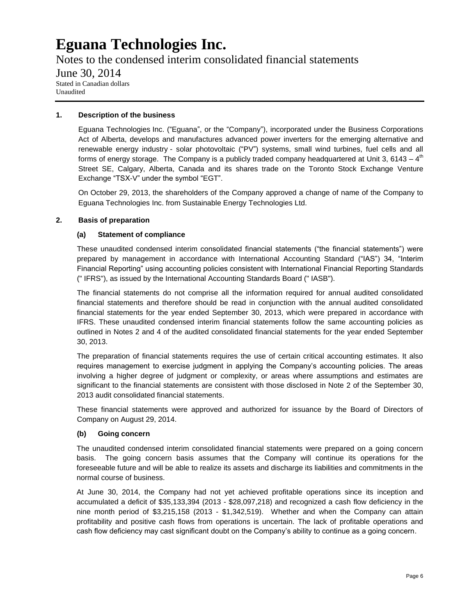Notes to the condensed interim consolidated financial statements June 30, 2014 Stated in Canadian dollars Unaudited

#### **1. Description of the business**

Eguana Technologies Inc. ("Eguana", or the "Company"), incorporated under the Business Corporations Act of Alberta, develops and manufactures advanced power inverters for the emerging alternative and renewable energy industry - solar photovoltaic ("PV") systems, small wind turbines, fuel cells and all forms of energy storage. The Company is a publicly traded company headquartered at Unit 3, 6143 – 4<sup>th</sup> Street SE, Calgary, Alberta, Canada and its shares trade on the Toronto Stock Exchange Venture Exchange "TSX-V" under the symbol "EGT".

On October 29, 2013, the shareholders of the Company approved a change of name of the Company to Eguana Technologies Inc. from Sustainable Energy Technologies Ltd.

#### **2. Basis of preparation**

#### **(a) Statement of compliance**

These unaudited condensed interim consolidated financial statements ("the financial statements") were prepared by management in accordance with International Accounting Standard ("IAS") 34, "Interim Financial Reporting" using accounting policies consistent with International Financial Reporting Standards (" IFRS"), as issued by the International Accounting Standards Board (" IASB").

The financial statements do not comprise all the information required for annual audited consolidated financial statements and therefore should be read in conjunction with the annual audited consolidated financial statements for the year ended September 30, 2013, which were prepared in accordance with IFRS. These unaudited condensed interim financial statements follow the same accounting policies as outlined in Notes 2 and 4 of the audited consolidated financial statements for the year ended September 30, 2013.

The preparation of financial statements requires the use of certain critical accounting estimates. It also requires management to exercise judgment in applying the Company's accounting policies. The areas involving a higher degree of judgment or complexity, or areas where assumptions and estimates are significant to the financial statements are consistent with those disclosed in Note 2 of the September 30, 2013 audit consolidated financial statements.

These financial statements were approved and authorized for issuance by the Board of Directors of Company on August 29, 2014.

#### **(b) Going concern**

The unaudited condensed interim consolidated financial statements were prepared on a going concern basis. The going concern basis assumes that the Company will continue its operations for the foreseeable future and will be able to realize its assets and discharge its liabilities and commitments in the normal course of business.

At June 30, 2014, the Company had not yet achieved profitable operations since its inception and accumulated a deficit of \$35,133,394 (2013 - \$28,097,218) and recognized a cash flow deficiency in the nine month period of \$3,215,158 (2013 - \$1,342,519). Whether and when the Company can attain profitability and positive cash flows from operations is uncertain. The lack of profitable operations and cash flow deficiency may cast significant doubt on the Company's ability to continue as a going concern.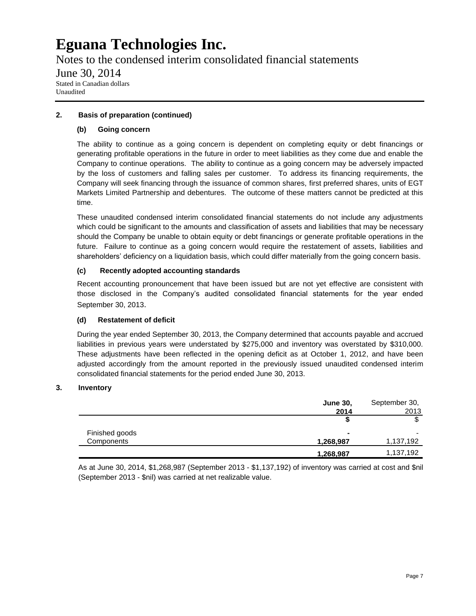Notes to the condensed interim consolidated financial statements June 30, 2014 Stated in Canadian dollars Unaudited

#### **2. Basis of preparation (continued)**

#### **(b) Going concern**

The ability to continue as a going concern is dependent on completing equity or debt financings or generating profitable operations in the future in order to meet liabilities as they come due and enable the Company to continue operations. The ability to continue as a going concern may be adversely impacted by the loss of customers and falling sales per customer. To address its financing requirements, the Company will seek financing through the issuance of common shares, first preferred shares, units of EGT Markets Limited Partnership and debentures. The outcome of these matters cannot be predicted at this time.

These unaudited condensed interim consolidated financial statements do not include any adjustments which could be significant to the amounts and classification of assets and liabilities that may be necessary should the Company be unable to obtain equity or debt financings or generate profitable operations in the future. Failure to continue as a going concern would require the restatement of assets, liabilities and shareholders' deficiency on a liquidation basis, which could differ materially from the going concern basis.

#### **(c) Recently adopted accounting standards**

Recent accounting pronouncement that have been issued but are not yet effective are consistent with those disclosed in the Company's audited consolidated financial statements for the year ended September 30, 2013.

#### **(d) Restatement of deficit**

During the year ended September 30, 2013, the Company determined that accounts payable and accrued liabilities in previous years were understated by \$275,000 and inventory was overstated by \$310,000. These adjustments have been reflected in the opening deficit as at October 1, 2012, and have been adjusted accordingly from the amount reported in the previously issued unaudited condensed interim consolidated financial statements for the period ended June 30, 2013.

#### **3. Inventory**

|                | <b>June 30,</b> | September 30,            |
|----------------|-----------------|--------------------------|
|                | 2014            | 2013                     |
|                | ъ               |                          |
| Finished goods |                 | $\overline{\phantom{0}}$ |
| Components     | 1,268,987       | 1,137,192                |
|                | 1,268,987       | 1,137,192                |

As at June 30, 2014, \$1,268,987 (September 2013 - \$1,137,192) of inventory was carried at cost and \$nil (September 2013 - \$nil) was carried at net realizable value.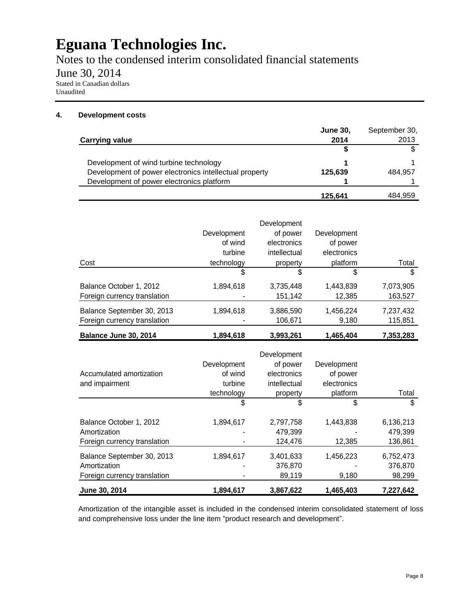Notes to the condensed interim consolidated financial statements

June 30, 2014

Stated in Canadian dollars Unaudited

#### **4. Development costs**

|                                                        | <b>June 30.</b> | September 30, |
|--------------------------------------------------------|-----------------|---------------|
| <b>Carrying value</b>                                  | 2014            | 2013          |
|                                                        |                 |               |
| Development of wind turbine technology                 |                 |               |
| Development of power electronics intellectual property | 125.639         | 484.957       |
| Development of power electronics platform              |                 |               |
|                                                        | 125.641         | 484,959       |

|                              | Development<br>of wind | Development<br>of power<br>electronics | Development<br>of power |           |
|------------------------------|------------------------|----------------------------------------|-------------------------|-----------|
|                              | turbine                | intellectual                           | electronics             |           |
| Cost                         | technology             | property                               | platform                | Total     |
|                              | \$                     | \$                                     | \$                      | \$        |
| Balance October 1, 2012      | 1,894,618              | 3,735,448                              | 1,443,839               | 7,073,905 |
| Foreign currency translation |                        | 151,142                                | 12,385                  | 163,527   |
| Balance September 30, 2013   | 1,894,618              | 3,886,590                              | 1,456,224               | 7,237,432 |
| Foreign currency translation |                        | 106,671                                | 9,180                   | 115,851   |
| Balance June 30, 2014        | 1,894,618              | 3,993,261                              | 1,465,404               | 7,353,283 |

| Accumulated amortization<br>and impairment                                 | Development<br>of wind<br>turbine<br>technology | Development<br>of power<br>electronics<br>intellectual<br>property | Development<br>of power<br>electronics<br>platform | Total                           |
|----------------------------------------------------------------------------|-------------------------------------------------|--------------------------------------------------------------------|----------------------------------------------------|---------------------------------|
|                                                                            | \$                                              | \$                                                                 | \$                                                 | \$                              |
| Balance October 1, 2012<br>Amortization<br>Foreign currency translation    | 1,894,617                                       | 2,797,758<br>479,399<br>124,476                                    | 1,443,838<br>12,385                                | 6,136,213<br>479,399<br>136,861 |
| Balance September 30, 2013<br>Amortization<br>Foreign currency translation | 1,894,617                                       | 3,401,633<br>376,870<br>89,119                                     | 1,456,223<br>9,180                                 | 6,752,473<br>376,870<br>98,299  |
| June 30, 2014                                                              | 1.894.617                                       | 3,867,622                                                          | 1,465,403                                          | 7.227.642                       |

Amortization of the intangible asset is included in the condensed interim consolidated statement of loss and comprehensive loss under the line item "product research and development".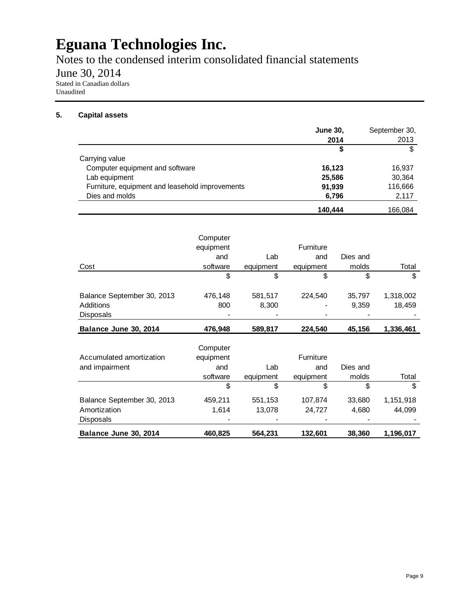Notes to the condensed interim consolidated financial statements

June 30, 2014

Stated in Canadian dollars Unaudited

#### **5. Capital assets**

|                                                 | <b>June 30.</b> | September 30, |
|-------------------------------------------------|-----------------|---------------|
|                                                 | 2014            | 2013          |
|                                                 | \$              | \$            |
| Carrying value                                  |                 |               |
| Computer equipment and software                 | 16,123          | 16,937        |
| Lab equipment                                   | 25,586          | 30,364        |
| Furniture, equipment and leasehold improvements | 91,939          | 116,666       |
| Dies and molds                                  | 6,796           | 2,117         |
|                                                 | 140.444         | 166.084       |

|                            | Computer<br>equipment<br>and | Lab       | <b>Furniture</b><br>and | Dies and |           |
|----------------------------|------------------------------|-----------|-------------------------|----------|-----------|
| Cost                       | software                     | equipment | equipment               | molds    | Total     |
|                            | \$                           | \$        | \$                      | \$       | \$        |
| Balance September 30, 2013 | 476,148                      | 581,517   | 224.540                 | 35,797   | 1,318,002 |
| Additions                  | 800                          | 8,300     | ٠                       | 9,359    | 18,459    |
| <b>Disposals</b>           |                              |           |                         |          |           |
| Balance June 30, 2014      | 476,948                      | 589,817   | 224,540                 | 45,156   | 1,336,461 |
|                            | Computer                     |           |                         |          |           |

| Balance June 30, 2014      | 460,825   | 564,231   | 132,601          | 38,360   | 1,196,017 |
|----------------------------|-----------|-----------|------------------|----------|-----------|
| <b>Disposals</b>           | $\,$      | ۰         | $\,$             | $\,$     |           |
| Amortization               | 1.614     | 13.078    | 24.727           | 4,680    | 44,099    |
| Balance September 30, 2013 | 459,211   | 551,153   | 107,874          | 33,680   | 1,151,918 |
|                            | \$        | \$        | \$               |          |           |
|                            | software  | equipment | equipment        | molds    | Total     |
| and impairment             | and       | Lab       | and              | Dies and |           |
| Accumulated amortization   | equipment |           | <b>Furniture</b> |          |           |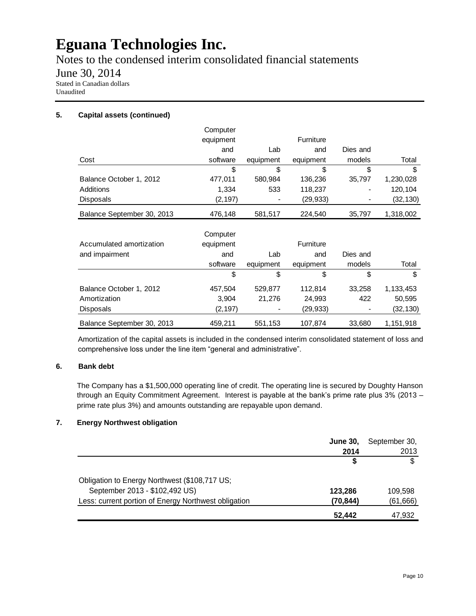Notes to the condensed interim consolidated financial statements

June 30, 2014

Stated in Canadian dollars Unaudited

#### **5. Capital assets (continued)**

|                            | Computer  |           |                  |          |           |
|----------------------------|-----------|-----------|------------------|----------|-----------|
|                            | equipment |           | Furniture        |          |           |
|                            | and       | Lab       | and              | Dies and |           |
| Cost                       | software  | equipment | equipment        | models   | Total     |
|                            | \$        | \$        | \$               | \$       | \$        |
| Balance October 1, 2012    | 477,011   | 580,984   | 136,236          | 35,797   | 1,230,028 |
| Additions                  | 1,334     | 533       | 118,237          |          | 120,104   |
| <b>Disposals</b>           | (2, 197)  |           | (29, 933)        |          | (32,130)  |
| Balance September 30, 2013 | 476,148   | 581,517   | 224,540          | 35,797   | 1,318,002 |
|                            | Computer  |           |                  |          |           |
| Accumulated amortization   | equipment |           | <b>Furniture</b> |          |           |
| and impairment             | and       | Lab       | and              | Dies and |           |
|                            | software  | equipment | equipment        | models   | Total     |
|                            | \$        | \$        | \$               | \$       | \$        |
| Balance October 1, 2012    | 457,504   | 529,877   | 112,814          | 33,258   | 1,133,453 |
| Amortization               | 3,904     | 21,276    | 24,993           | 422      | 50,595    |
| Disposals                  | (2, 197)  |           | (29, 933)        |          | (32,130)  |
| Balance September 30, 2013 | 459,211   | 551,153   | 107,874          | 33,680   | 1,151,918 |

Amortization of the capital assets is included in the condensed interim consolidated statement of loss and comprehensive loss under the line item "general and administrative".

#### **6. Bank debt**

The Company has a \$1,500,000 operating line of credit. The operating line is secured by Doughty Hanson through an Equity Commitment Agreement. Interest is payable at the bank's prime rate plus 3% (2013 – prime rate plus 3%) and amounts outstanding are repayable upon demand.

#### **7. Energy Northwest obligation**

|                                                      | <b>June 30,</b> | September 30, |
|------------------------------------------------------|-----------------|---------------|
|                                                      | 2014            | 2013          |
|                                                      |                 |               |
| Obligation to Energy Northwest (\$108,717 US;        |                 |               |
| September 2013 - \$102,492 US)                       | 123,286         | 109.598       |
| Less: current portion of Energy Northwest obligation | (70,844)        | (61, 666)     |
|                                                      | 52.442          | 47,932        |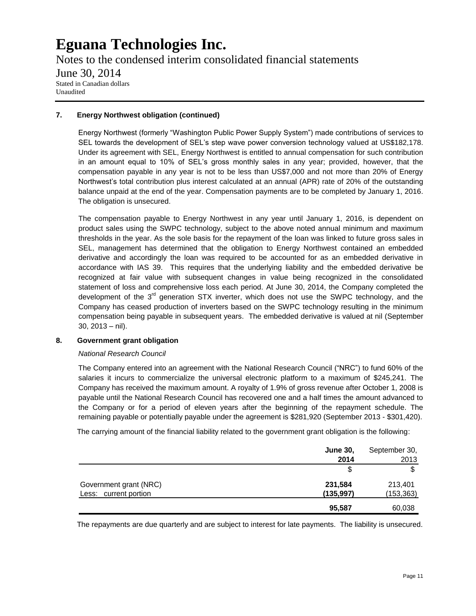Notes to the condensed interim consolidated financial statements June 30, 2014 Stated in Canadian dollars Unaudited

#### **7. Energy Northwest obligation (continued)**

Energy Northwest (formerly "Washington Public Power Supply System") made contributions of services to SEL towards the development of SEL's step wave power conversion technology valued at US\$182,178. Under its agreement with SEL, Energy Northwest is entitled to annual compensation for such contribution in an amount equal to 10% of SEL's gross monthly sales in any year; provided, however, that the compensation payable in any year is not to be less than US\$7,000 and not more than 20% of Energy Northwest's total contribution plus interest calculated at an annual (APR) rate of 20% of the outstanding balance unpaid at the end of the year. Compensation payments are to be completed by January 1, 2016. The obligation is unsecured.

The compensation payable to Energy Northwest in any year until January 1, 2016, is dependent on product sales using the SWPC technology, subject to the above noted annual minimum and maximum thresholds in the year. As the sole basis for the repayment of the loan was linked to future gross sales in SEL, management has determined that the obligation to Energy Northwest contained an embedded derivative and accordingly the loan was required to be accounted for as an embedded derivative in accordance with IAS 39. This requires that the underlying liability and the embedded derivative be recognized at fair value with subsequent changes in value being recognized in the consolidated statement of loss and comprehensive loss each period. At June 30, 2014, the Company completed the development of the 3<sup>rd</sup> generation STX inverter, which does not use the SWPC technology, and the Company has ceased production of inverters based on the SWPC technology resulting in the minimum compensation being payable in subsequent years. The embedded derivative is valued at nil (September 30, 2013 – nil).

#### **8. Government grant obligation**

#### *National Research Council*

The Company entered into an agreement with the National Research Council ("NRC") to fund 60% of the salaries it incurs to commercialize the universal electronic platform to a maximum of \$245,241. The Company has received the maximum amount. A royalty of 1.9% of gross revenue after October 1, 2008 is payable until the National Research Council has recovered one and a half times the amount advanced to the Company or for a period of eleven years after the beginning of the repayment schedule. The remaining payable or potentially payable under the agreement is \$281,920 (September 2013 - \$301,420).

The carrying amount of the financial liability related to the government grant obligation is the following:

|                        | <b>June 30.</b> | September 30, |
|------------------------|-----------------|---------------|
|                        | 2014            | 2013          |
|                        | \$              | ጦ             |
| Government grant (NRC) | 231,584         | 213,401       |
| Less: current portion  | (135, 997)      | (153, 363)    |
|                        | 95,587          | 60,038        |

The repayments are due quarterly and are subject to interest for late payments. The liability is unsecured.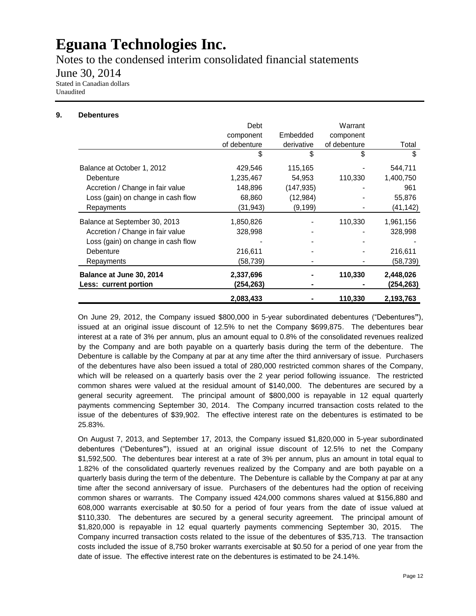Notes to the condensed interim consolidated financial statements

June 30, 2014

Stated in Canadian dollars Unaudited

#### **9. Debentures**

|                                    | Debt<br>component | Embedded   | Warrant<br>component |           |
|------------------------------------|-------------------|------------|----------------------|-----------|
|                                    | of debenture      | derivative | of debenture         | Total     |
|                                    | \$                | \$         | \$                   | \$        |
| Balance at October 1, 2012         | 429,546           | 115,165    |                      | 544,711   |
| Debenture                          | 1,235,467         | 54,953     | 110,330              | 1,400,750 |
| Accretion / Change in fair value   | 148,896           | (147, 935) |                      | 961       |
| Loss (gain) on change in cash flow | 68,860            | (12, 984)  |                      | 55,876    |
| Repayments                         | (31, 943)         | (9, 199)   |                      | (41,142)  |
| Balance at September 30, 2013      | 1,850,826         |            | 110,330              | 1,961,156 |
| Accretion / Change in fair value   | 328,998           |            |                      | 328,998   |
| Loss (gain) on change in cash flow |                   |            |                      |           |
| Debenture                          | 216,611           |            |                      | 216,611   |
| Repayments                         | (58,739)          | -          |                      | (58,739)  |
| Balance at June 30, 2014           | 2,337,696         |            | 110,330              | 2,448,026 |
| Less: current portion              | (254,263)         |            |                      | (254,263) |
|                                    | 2,083,433         |            | 110,330              | 2,193,763 |

On June 29, 2012, the Company issued \$800,000 in 5-year subordinated debentures ("Debentures**"**), issued at an original issue discount of 12.5% to net the Company \$699,875. The debentures bear interest at a rate of 3% per annum, plus an amount equal to 0.8% of the consolidated revenues realized by the Company and are both payable on a quarterly basis during the term of the debenture. The Debenture is callable by the Company at par at any time after the third anniversary of issue. Purchasers of the debentures have also been issued a total of 280,000 restricted common shares of the Company, which will be released on a quarterly basis over the 2 year period following issuance. The restricted common shares were valued at the residual amount of \$140,000. The debentures are secured by a general security agreement. The principal amount of \$800,000 is repayable in 12 equal quarterly payments commencing September 30, 2014. The Company incurred transaction costs related to the issue of the debentures of \$39,902. The effective interest rate on the debentures is estimated to be 25.83%.

On August 7, 2013, and September 17, 2013, the Company issued \$1,820,000 in 5-year subordinated debentures ("Debentures**"**), issued at an original issue discount of 12.5% to net the Company \$1,592,500. The debentures bear interest at a rate of 3% per annum, plus an amount in total equal to 1.82% of the consolidated quarterly revenues realized by the Company and are both payable on a quarterly basis during the term of the debenture. The Debenture is callable by the Company at par at any time after the second anniversary of issue. Purchasers of the debentures had the option of receiving common shares or warrants. The Company issued 424,000 commons shares valued at \$156,880 and 608,000 warrants exercisable at \$0.50 for a period of four years from the date of issue valued at \$110,330. The debentures are secured by a general security agreement. The principal amount of \$1,820,000 is repayable in 12 equal quarterly payments commencing September 30, 2015. The Company incurred transaction costs related to the issue of the debentures of \$35,713. The transaction costs included the issue of 8,750 broker warrants exercisable at \$0.50 for a period of one year from the date of issue. The effective interest rate on the debentures is estimated to be 24.14%.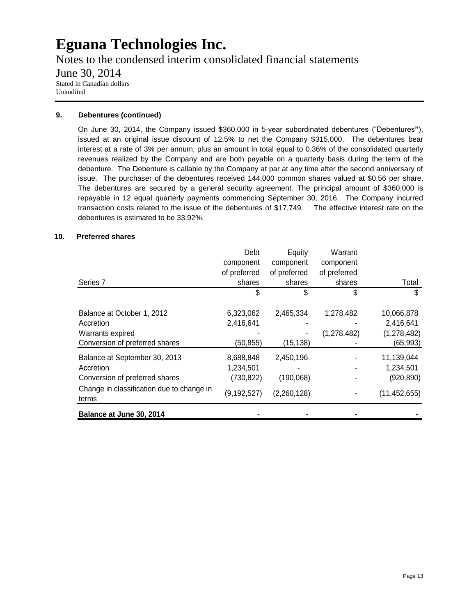Notes to the condensed interim consolidated financial statements June 30, 2014 Stated in Canadian dollars Unaudited

#### **9. Debentures (continued)**

On June 30, 2014, the Company issued \$360,000 in 5-year subordinated debentures ("Debentures**"**), issued at an original issue discount of 12.5% to net the Company \$315,000. The debentures bear interest at a rate of 3% per annum, plus an amount in total equal to 0.36% of the consolidated quarterly revenues realized by the Company and are both payable on a quarterly basis during the term of the debenture. The Debenture is callable by the Company at par at any time after the second anniversary of issue. The purchaser of the debentures received 144,000 common shares valued at \$0.56 per share. The debentures are secured by a general security agreement. The principal amount of \$360,000 is repayable in 12 equal quarterly payments commencing September 30, 2016. The Company incurred transaction costs related to the issue of the debentures of \$17,749. The effective interest rate on the debentures is estimated to be 33.92%.

#### **10. Preferred shares**

|                                                    | Debt          | Equity       | Warrant       |                |
|----------------------------------------------------|---------------|--------------|---------------|----------------|
|                                                    | component     | component    | component     |                |
|                                                    | of preferred  | of preferred | of preferred  |                |
| Series <sub>7</sub>                                | shares        | shares       | shares        | Total          |
|                                                    | \$            | S            | \$            | \$             |
| Balance at October 1, 2012                         | 6,323,062     | 2,465,334    | 1,278,482     | 10,066,878     |
| Accretion                                          | 2,416,641     |              |               | 2,416,641      |
| Warrants expired                                   |               |              | (1, 278, 482) | (1, 278, 482)  |
| Conversion of preferred shares                     | (50, 855)     | (15, 138)    |               | (65, 993)      |
| Balance at September 30, 2013                      | 8,688,848     | 2,450,196    |               | 11,139,044     |
| Accretion                                          | 1,234,501     |              |               | 1,234,501      |
| Conversion of preferred shares                     | (730, 822)    | (190,068)    |               | (920, 890)     |
| Change in classification due to change in<br>terms | (9, 192, 527) | (2,260,128)  |               | (11, 452, 655) |
| Balance at June 30, 2014                           |               |              |               |                |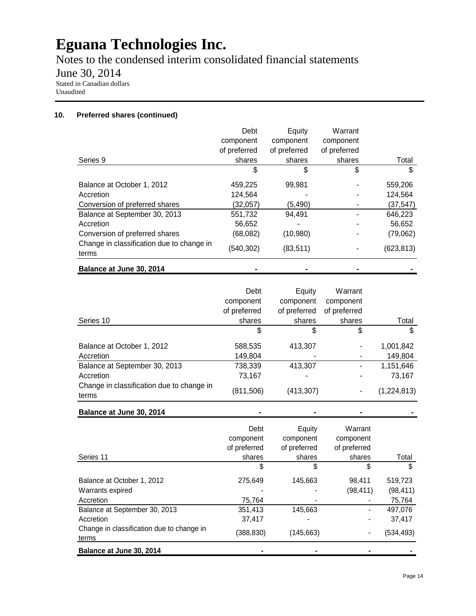Notes to the condensed interim consolidated financial statements

June 30, 2014

Stated in Canadian dollars Unaudited

#### **10. Preferred shares (continued)**

|                                                    | Debt         | Equity       | Warrant      |           |
|----------------------------------------------------|--------------|--------------|--------------|-----------|
|                                                    | component    | component    | component    |           |
|                                                    | of preferred | of preferred | of preferred |           |
| Series 9                                           | shares       | shares       | shares       | Total     |
|                                                    | S            | \$           | \$           | S         |
| Balance at October 1, 2012                         | 459,225      | 99,981       |              | 559,206   |
| Accretion                                          | 124,564      |              |              | 124,564   |
| Conversion of preferred shares                     | (32,057)     | (5, 490)     |              | (37, 547) |
| Balance at September 30, 2013                      | 551,732      | 94,491       |              | 646,223   |
| Accretion                                          | 56,652       |              |              | 56,652    |
| Conversion of preferred shares                     | (68,082)     | (10,980)     |              | (79,062)  |
| Change in classification due to change in<br>terms | (540, 302)   | (83, 511)    |              | (623,813) |
| Balance at June 30, 2014                           |              |              |              |           |

|                                                    | Debt         | Equity       | Warrant      |             |
|----------------------------------------------------|--------------|--------------|--------------|-------------|
|                                                    | component    | component    | component    |             |
|                                                    | of preferred | of preferred | of preferred |             |
| Series 10                                          | shares       | shares       | shares       | Total       |
|                                                    | \$           | \$           | \$           |             |
| Balance at October 1, 2012                         | 588,535      | 413,307      |              | 1,001,842   |
| Accretion                                          | 149,804      |              |              | 149,804     |
| Balance at September 30, 2013                      | 738,339      | 413,307      |              | 1,151,646   |
| Accretion                                          | 73,167       |              |              | 73,167      |
| Change in classification due to change in<br>terms | (811, 506)   | (413, 307)   |              | (1,224,813) |

**Balance at June 30, 2014 - - - -**

|                                                    | Debt<br>component<br>of preferred | Equity<br>component<br>of preferred | Warrant<br>component<br>of preferred |           |
|----------------------------------------------------|-----------------------------------|-------------------------------------|--------------------------------------|-----------|
| Series 11                                          | shares                            | shares                              | shares                               | Total     |
|                                                    | \$                                | S                                   | \$                                   | S         |
| Balance at October 1, 2012                         | 275,649                           | 145,663                             | 98.411                               | 519,723   |
| Warrants expired                                   |                                   |                                     | (98, 411)                            | (98, 411) |
| Accretion                                          | 75,764                            |                                     |                                      | 75,764    |
| Balance at September 30, 2013                      | 351,413                           | 145,663                             |                                      | 497.076   |
| Accretion                                          | 37,417                            |                                     |                                      | 37,417    |
| Change in classification due to change in<br>terms | (388, 830)                        | (145, 663)                          | -                                    | (534,493) |
| Balance at June 30, 2014                           |                                   |                                     |                                      |           |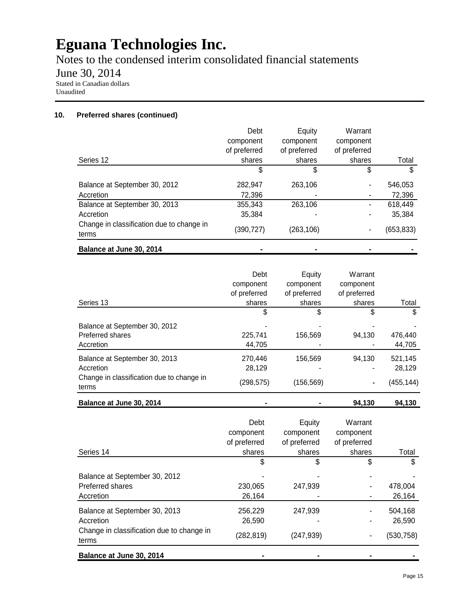Notes to the condensed interim consolidated financial statements

June 30, 2014

Stated in Canadian dollars Unaudited

#### **10. Preferred shares (continued)**

|                                                    | Debt         | Equity       | Warrant      |            |
|----------------------------------------------------|--------------|--------------|--------------|------------|
|                                                    | component    | component    | component    |            |
|                                                    | of preferred | of preferred | of preferred |            |
| Series 12                                          | shares       | shares       | shares       | Total      |
|                                                    | S            | \$           | \$           | S          |
| Balance at September 30, 2012                      | 282,947      | 263,106      |              | 546,053    |
| Accretion                                          | 72,396       |              |              | 72,396     |
| Balance at September 30, 2013                      | 355,343      | 263,106      | ۰            | 618,449    |
| Accretion                                          | 35,384       |              |              | 35,384     |
| Change in classification due to change in<br>terms | (390, 727)   | (263, 106)   |              | (653, 833) |
| Balance at June 30, 2014                           |              |              |              |            |

| Series 13                                                                               | Debt<br>component<br>of preferred<br>shares | Equity<br>component<br>of preferred<br>shares | Warrant<br>component<br>of preferred<br>shares | Total             |
|-----------------------------------------------------------------------------------------|---------------------------------------------|-----------------------------------------------|------------------------------------------------|-------------------|
|                                                                                         | \$                                          | \$                                            | \$                                             | \$                |
| Balance at September 30, 2012<br>Preferred shares<br>Accretion                          | 225,741<br>44.705                           | 156,569                                       | 94,130                                         | 476,440<br>44,705 |
| Balance at September 30, 2013<br>Accretion<br>Change in classification due to change in | 270.446<br>28.129                           | 156,569                                       | 94.130                                         | 521,145<br>28,129 |
| terms                                                                                   | (298,575)                                   | (156, 569)                                    | ۰                                              | (455,144)         |

**Balance at June 30, 2014 - - 94,130 94,130**

| Series 14                                                                                        | Debt<br>component<br>of preferred<br>shares | Equity<br>component<br>of preferred<br>shares | Warrant<br>component<br>of preferred<br>shares | Total                           |
|--------------------------------------------------------------------------------------------------|---------------------------------------------|-----------------------------------------------|------------------------------------------------|---------------------------------|
|                                                                                                  | \$                                          | \$                                            | \$                                             |                                 |
| Balance at September 30, 2012<br>Preferred shares<br>Accretion                                   | 230,065<br>26,164                           | 247,939                                       |                                                | 478,004<br>26,164               |
| Balance at September 30, 2013<br>Accretion<br>Change in classification due to change in<br>terms | 256,229<br>26,590<br>(282, 819)             | 247,939<br>(247, 939)                         |                                                | 504,168<br>26.590<br>(530, 758) |
| Balance at June 30, 2014                                                                         |                                             |                                               |                                                |                                 |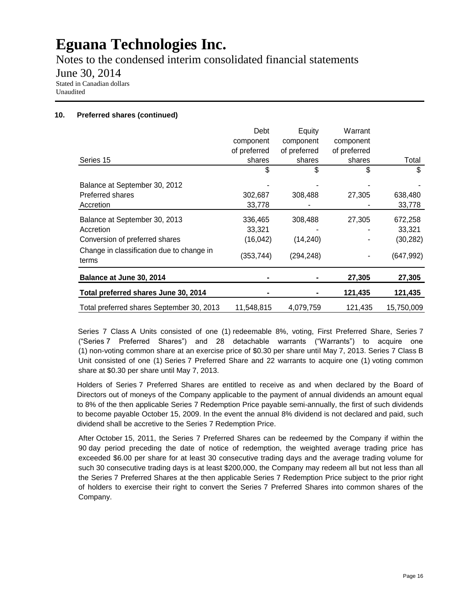Notes to the condensed interim consolidated financial statements

June 30, 2014

Stated in Canadian dollars Unaudited

#### **10. Preferred shares (continued)**

|                                                    | Debt         | Equity       | Warrant      |            |
|----------------------------------------------------|--------------|--------------|--------------|------------|
|                                                    | component    | component    | component    |            |
|                                                    | of preferred | of preferred | of preferred |            |
| Series 15                                          | shares       | shares       | shares       | Total      |
|                                                    | \$           | \$           | \$           | \$         |
| Balance at September 30, 2012                      |              |              |              |            |
| Preferred shares                                   | 302,687      | 308,488      | 27,305       | 638,480    |
| Accretion                                          | 33,778       |              |              | 33,778     |
| Balance at September 30, 2013                      | 336,465      | 308,488      | 27,305       | 672,258    |
| Accretion                                          | 33,321       |              |              | 33,321     |
| Conversion of preferred shares                     | (16, 042)    | (14, 240)    |              | (30, 282)  |
| Change in classification due to change in<br>terms | (353,744)    | (294, 248)   |              | (647,992)  |
| Balance at June 30, 2014                           |              |              | 27,305       | 27,305     |
| Total preferred shares June 30, 2014               |              |              | 121,435      | 121,435    |
| Total preferred shares September 30, 2013          | 11,548,815   | 4,079,759    | 121,435      | 15,750,009 |

Series 7 Class A Units consisted of one (1) redeemable 8%, voting, First Preferred Share, Series 7 ("Series 7 Preferred Shares") and 28 detachable warrants ("Warrants") to acquire one (1) non-voting common share at an exercise price of \$0.30 per share until May 7, 2013. Series 7 Class B Unit consisted of one (1) Series 7 Preferred Share and 22 warrants to acquire one (1) voting common share at \$0.30 per share until May 7, 2013.

Holders of Series 7 Preferred Shares are entitled to receive as and when declared by the Board of Directors out of moneys of the Company applicable to the payment of annual dividends an amount equal to 8% of the then applicable Series 7 Redemption Price payable semi-annually, the first of such dividends to become payable October 15, 2009. In the event the annual 8% dividend is not declared and paid, such dividend shall be accretive to the Series 7 Redemption Price.

After October 15, 2011, the Series 7 Preferred Shares can be redeemed by the Company if within the 90 day period preceding the date of notice of redemption, the weighted average trading price has exceeded \$6.00 per share for at least 30 consecutive trading days and the average trading volume for such 30 consecutive trading days is at least \$200,000, the Company may redeem all but not less than all the Series 7 Preferred Shares at the then applicable Series 7 Redemption Price subject to the prior right of holders to exercise their right to convert the Series 7 Preferred Shares into common shares of the Company.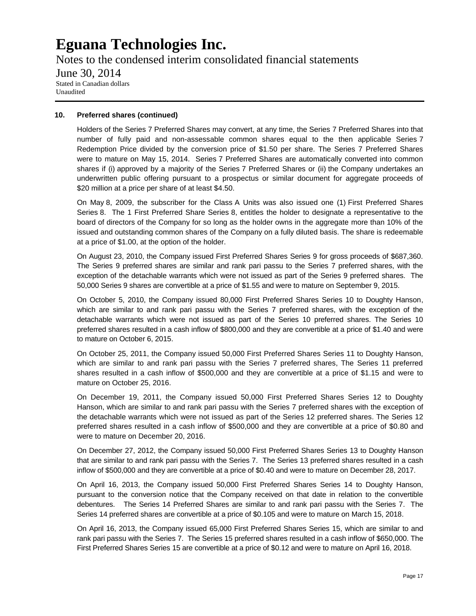Notes to the condensed interim consolidated financial statements June 30, 2014 Stated in Canadian dollars Unaudited

#### **10. Preferred shares (continued)**

Holders of the Series 7 Preferred Shares may convert, at any time, the Series 7 Preferred Shares into that number of fully paid and non-assessable common shares equal to the then applicable Series 7 Redemption Price divided by the conversion price of \$1.50 per share. The Series 7 Preferred Shares were to mature on May 15, 2014. Series 7 Preferred Shares are automatically converted into common shares if (i) approved by a majority of the Series 7 Preferred Shares or (ii) the Company undertakes an underwritten public offering pursuant to a prospectus or similar document for aggregate proceeds of \$20 million at a price per share of at least \$4.50.

On May 8, 2009, the subscriber for the Class A Units was also issued one (1) First Preferred Shares Series 8. The 1 First Preferred Share Series 8, entitles the holder to designate a representative to the board of directors of the Company for so long as the holder owns in the aggregate more than 10% of the issued and outstanding common shares of the Company on a fully diluted basis. The share is redeemable at a price of \$1.00, at the option of the holder.

On August 23, 2010, the Company issued First Preferred Shares Series 9 for gross proceeds of \$687,360. The Series 9 preferred shares are similar and rank pari passu to the Series 7 preferred shares, with the exception of the detachable warrants which were not issued as part of the Series 9 preferred shares. The 50,000 Series 9 shares are convertible at a price of \$1.55 and were to mature on September 9, 2015.

On October 5, 2010, the Company issued 80,000 First Preferred Shares Series 10 to Doughty Hanson, which are similar to and rank pari passu with the Series 7 preferred shares, with the exception of the detachable warrants which were not issued as part of the Series 10 preferred shares. The Series 10 preferred shares resulted in a cash inflow of \$800,000 and they are convertible at a price of \$1.40 and were to mature on October 6, 2015.

On October 25, 2011, the Company issued 50,000 First Preferred Shares Series 11 to Doughty Hanson, which are similar to and rank pari passu with the Series 7 preferred shares, The Series 11 preferred shares resulted in a cash inflow of \$500,000 and they are convertible at a price of \$1.15 and were to mature on October 25, 2016.

On December 19, 2011, the Company issued 50,000 First Preferred Shares Series 12 to Doughty Hanson, which are similar to and rank pari passu with the Series 7 preferred shares with the exception of the detachable warrants which were not issued as part of the Series 12 preferred shares. The Series 12 preferred shares resulted in a cash inflow of \$500,000 and they are convertible at a price of \$0.80 and were to mature on December 20, 2016.

On December 27, 2012, the Company issued 50,000 First Preferred Shares Series 13 to Doughty Hanson that are similar to and rank pari passu with the Series 7. The Series 13 preferred shares resulted in a cash inflow of \$500,000 and they are convertible at a price of \$0.40 and were to mature on December 28, 2017.

On April 16, 2013, the Company issued 50,000 First Preferred Shares Series 14 to Doughty Hanson, pursuant to the conversion notice that the Company received on that date in relation to the convertible debentures. The Series 14 Preferred Shares are similar to and rank pari passu with the Series 7. The Series 14 preferred shares are convertible at a price of \$0.105 and were to mature on March 15, 2018.

On April 16, 2013, the Company issued 65,000 First Preferred Shares Series 15, which are similar to and rank pari passu with the Series 7. The Series 15 preferred shares resulted in a cash inflow of \$650,000. The First Preferred Shares Series 15 are convertible at a price of \$0.12 and were to mature on April 16, 2018.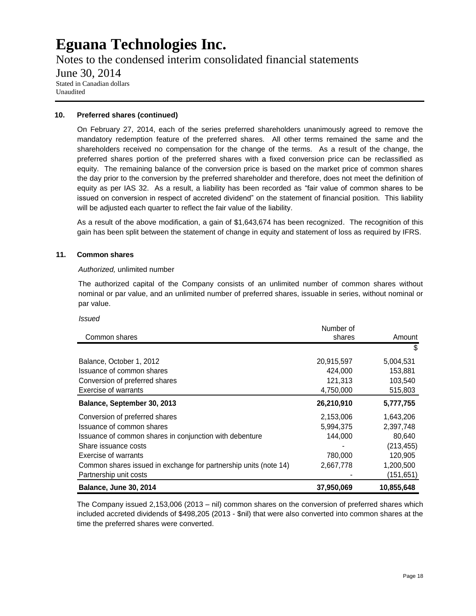Notes to the condensed interim consolidated financial statements June 30, 2014 Stated in Canadian dollars Unaudited

#### **10. Preferred shares (continued)**

On February 27, 2014, each of the series preferred shareholders unanimously agreed to remove the mandatory redemption feature of the preferred shares. All other terms remained the same and the shareholders received no compensation for the change of the terms. As a result of the change, the preferred shares portion of the preferred shares with a fixed conversion price can be reclassified as equity. The remaining balance of the conversion price is based on the market price of common shares the day prior to the conversion by the preferred shareholder and therefore, does not meet the definition of equity as per IAS 32. As a result, a liability has been recorded as "fair value of common shares to be issued on conversion in respect of accreted dividend" on the statement of financial position. This liability will be adjusted each quarter to reflect the fair value of the liability.

As a result of the above modification, a gain of \$1,643,674 has been recognized. The recognition of this gain has been split between the statement of change in equity and statement of loss as required by IFRS.

#### **11. Common shares**

#### *Authorized,* unlimited number

The authorized capital of the Company consists of an unlimited number of common shares without nominal or par value, and an unlimited number of preferred shares, issuable in series, without nominal or par value.

#### *Issued*

|                                                                  | Number of  |            |
|------------------------------------------------------------------|------------|------------|
| Common shares                                                    | shares     | Amount     |
|                                                                  |            | \$         |
| Balance, October 1, 2012                                         | 20,915,597 | 5,004,531  |
| Issuance of common shares                                        | 424.000    | 153,881    |
| Conversion of preferred shares                                   | 121,313    | 103,540    |
| <b>Exercise of warrants</b>                                      | 4,750,000  | 515,803    |
| Balance, September 30, 2013                                      | 26,210,910 | 5,777,755  |
| Conversion of preferred shares                                   | 2,153,006  | 1,643,206  |
| Issuance of common shares                                        | 5,994,375  | 2,397,748  |
| Issuance of common shares in conjunction with debenture          | 144.000    | 80,640     |
| Share issuance costs                                             |            | (213, 455) |
| Exercise of warrants                                             | 780,000    | 120,905    |
| Common shares issued in exchange for partnership units (note 14) | 2,667,778  | 1,200,500  |
| Partnership unit costs                                           |            | (151,651)  |
| <b>Balance, June 30, 2014</b>                                    | 37,950,069 | 10,855,648 |

The Company issued 2,153,006 (2013 – nil) common shares on the conversion of preferred shares which included accreted dividends of \$498,205 (2013 - \$nil) that were also converted into common shares at the time the preferred shares were converted.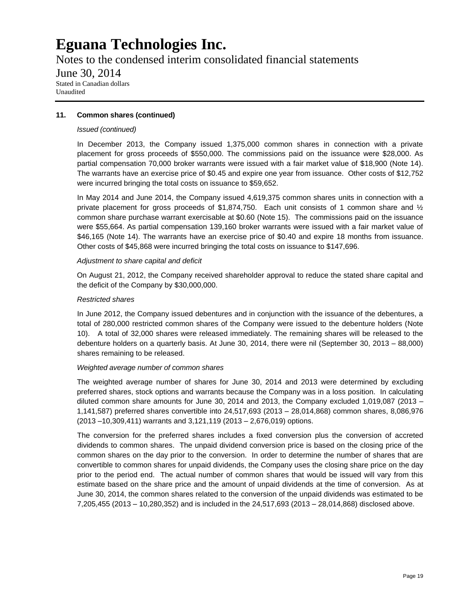Notes to the condensed interim consolidated financial statements

June 30, 2014

Stated in Canadian dollars Unaudited

#### **11. Common shares (continued)**

#### *Issued (continued)*

In December 2013, the Company issued 1,375,000 common shares in connection with a private placement for gross proceeds of \$550,000. The commissions paid on the issuance were \$28,000. As partial compensation 70,000 broker warrants were issued with a fair market value of \$18,900 (Note 14). The warrants have an exercise price of \$0.45 and expire one year from issuance. Other costs of \$12,752 were incurred bringing the total costs on issuance to \$59,652.

In May 2014 and June 2014, the Company issued 4,619,375 common shares units in connection with a private placement for gross proceeds of \$1,874,750. Each unit consists of 1 common share and  $\frac{1}{2}$ common share purchase warrant exercisable at \$0.60 (Note 15). The commissions paid on the issuance were \$55,664. As partial compensation 139,160 broker warrants were issued with a fair market value of \$46,165 (Note 14). The warrants have an exercise price of \$0.40 and expire 18 months from issuance. Other costs of \$45,868 were incurred bringing the total costs on issuance to \$147,696.

#### *Adjustment to share capital and deficit*

On August 21, 2012, the Company received shareholder approval to reduce the stated share capital and the deficit of the Company by \$30,000,000.

#### *Restricted shares*

In June 2012, the Company issued debentures and in conjunction with the issuance of the debentures, a total of 280,000 restricted common shares of the Company were issued to the debenture holders (Note 10). A total of 32,000 shares were released immediately. The remaining shares will be released to the debenture holders on a quarterly basis. At June 30, 2014, there were nil (September 30, 2013 – 88,000) shares remaining to be released.

#### *Weighted average number of common shares*

The weighted average number of shares for June 30, 2014 and 2013 were determined by excluding preferred shares, stock options and warrants because the Company was in a loss position. In calculating diluted common share amounts for June 30, 2014 and 2013, the Company excluded 1,019,087 (2013 – 1,141,587) preferred shares convertible into 24,517,693 (2013 – 28,014,868) common shares, 8,086,976 (2013 –10,309,411) warrants and 3,121,119 (2013 – 2,676,019) options.

The conversion for the preferred shares includes a fixed conversion plus the conversion of accreted dividends to common shares. The unpaid dividend conversion price is based on the closing price of the common shares on the day prior to the conversion. In order to determine the number of shares that are convertible to common shares for unpaid dividends, the Company uses the closing share price on the day prior to the period end. The actual number of common shares that would be issued will vary from this estimate based on the share price and the amount of unpaid dividends at the time of conversion. As at June 30, 2014, the common shares related to the conversion of the unpaid dividends was estimated to be 7,205,455 (2013 – 10,280,352) and is included in the 24,517,693 (2013 – 28,014,868) disclosed above.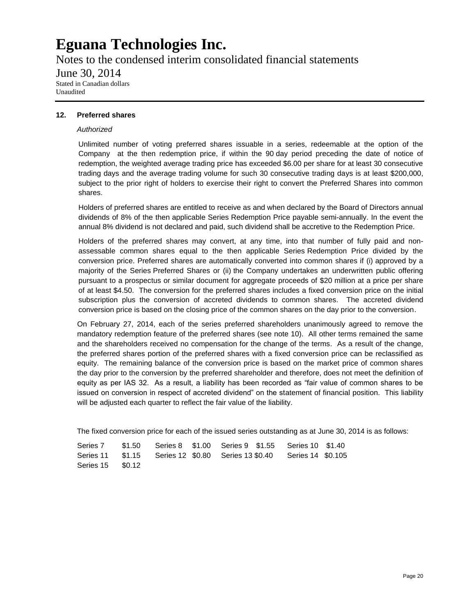Notes to the condensed interim consolidated financial statements

June 30, 2014

Stated in Canadian dollars Unaudited

#### **12. Preferred shares**

#### *Authorized*

Unlimited number of voting preferred shares issuable in a series, redeemable at the option of the Company at the then redemption price, if within the 90 day period preceding the date of notice of redemption, the weighted average trading price has exceeded \$6.00 per share for at least 30 consecutive trading days and the average trading volume for such 30 consecutive trading days is at least \$200,000, subject to the prior right of holders to exercise their right to convert the Preferred Shares into common shares.

Holders of preferred shares are entitled to receive as and when declared by the Board of Directors annual dividends of 8% of the then applicable Series Redemption Price payable semi-annually. In the event the annual 8% dividend is not declared and paid, such dividend shall be accretive to the Redemption Price.

Holders of the preferred shares may convert, at any time, into that number of fully paid and nonassessable common shares equal to the then applicable Series Redemption Price divided by the conversion price. Preferred shares are automatically converted into common shares if (i) approved by a majority of the Series Preferred Shares or (ii) the Company undertakes an underwritten public offering pursuant to a prospectus or similar document for aggregate proceeds of \$20 million at a price per share of at least \$4.50. The conversion for the preferred shares includes a fixed conversion price on the initial subscription plus the conversion of accreted dividends to common shares. The accreted dividend conversion price is based on the closing price of the common shares on the day prior to the conversion.

On February 27, 2014, each of the series preferred shareholders unanimously agreed to remove the mandatory redemption feature of the preferred shares (see note 10). All other terms remained the same and the shareholders received no compensation for the change of the terms. As a result of the change, the preferred shares portion of the preferred shares with a fixed conversion price can be reclassified as equity. The remaining balance of the conversion price is based on the market price of common shares the day prior to the conversion by the preferred shareholder and therefore, does not meet the definition of equity as per IAS 32. As a result, a liability has been recorded as "fair value of common shares to be issued on conversion in respect of accreted dividend" on the statement of financial position. This liability will be adjusted each quarter to reflect the fair value of the liability.

The fixed conversion price for each of the issued series outstanding as at June 30, 2014 is as follows:

| Series 15 \$0.12 |  |  |  |  |
|------------------|--|--|--|--|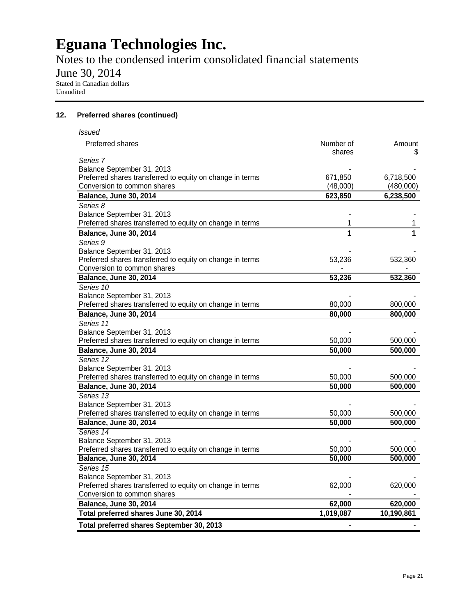Notes to the condensed interim consolidated financial statements

June 30, 2014

Stated in Canadian dollars Unaudited

#### **12. Preferred shares (continued)**

| Total preferred shares September 30, 2013                 | ٠         |            |
|-----------------------------------------------------------|-----------|------------|
| Total preferred shares June 30, 2014                      | 1,019,087 | 10,190,861 |
| Balance, June 30, 2014                                    | 62,000    | 620,000    |
| Conversion to common shares                               |           |            |
| Preferred shares transferred to equity on change in terms | 62,000    | 620,000    |
| Balance September 31, 2013                                |           |            |
| Series 15                                                 |           |            |
| <b>Balance, June 30, 2014</b>                             | 50,000    | 500,000    |
| Preferred shares transferred to equity on change in terms | 50,000    | 500,000    |
| Balance September 31, 2013                                |           |            |
| Series 14                                                 |           |            |
| <b>Balance, June 30, 2014</b>                             | 50,000    | 500,000    |
| Preferred shares transferred to equity on change in terms | 50,000    | 500,000    |
| Balance September 31, 2013                                |           |            |
| Series 13                                                 |           |            |
| Balance, June 30, 2014                                    | 50,000    | 500,000    |
| Preferred shares transferred to equity on change in terms | 50,000    | 500,000    |
| Balance September 31, 2013                                |           |            |
| Series 12                                                 |           |            |
| Balance, June 30, 2014                                    | 50,000    | 500,000    |
| Preferred shares transferred to equity on change in terms | 50,000    | 500,000    |
| Balance September 31, 2013                                |           |            |
| Series 11                                                 |           |            |
| <b>Balance, June 30, 2014</b>                             | 80,000    | 800,000    |
| Preferred shares transferred to equity on change in terms | 80,000    | 800,000    |
| Balance September 31, 2013                                |           |            |
| Series 10                                                 |           |            |
| Balance, June 30, 2014                                    | 53,236    | 532,360    |
| Conversion to common shares                               |           |            |
| Preferred shares transferred to equity on change in terms | 53,236    | 532,360    |
| Balance September 31, 2013                                |           |            |
| Series 9                                                  |           |            |
| <b>Balance, June 30, 2014</b>                             | 1         | 1          |
| Preferred shares transferred to equity on change in terms | 1         | 1          |
| Balance September 31, 2013                                |           |            |
| Series 8                                                  |           |            |
| <b>Balance, June 30, 2014</b>                             | 623,850   | 6,238,500  |
| Conversion to common shares                               | (48,000)  | (480,000)  |
| Preferred shares transferred to equity on change in terms | 671,850   | 6,718,500  |
| Balance September 31, 2013                                |           |            |
| Series 7                                                  | shares    | \$         |
| <b>Preferred shares</b>                                   | Number of | Amount     |
| <b>Issued</b>                                             |           |            |
|                                                           |           |            |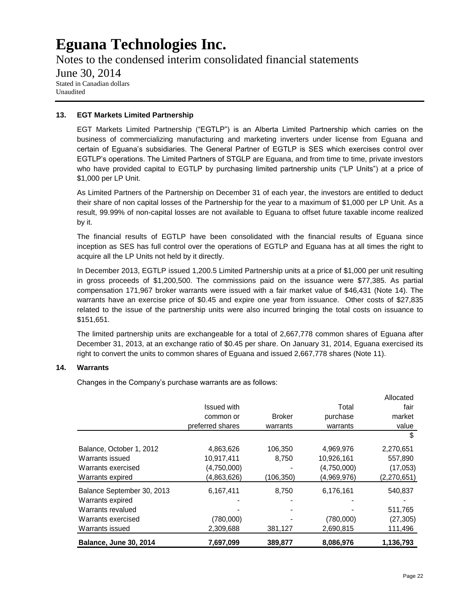Notes to the condensed interim consolidated financial statements June 30, 2014 Stated in Canadian dollars Unaudited

#### **13. EGT Markets Limited Partnership**

EGT Markets Limited Partnership ("EGTLP") is an Alberta Limited Partnership which carries on the business of commercializing manufacturing and marketing inverters under license from Eguana and certain of Eguana's subsidiaries. The General Partner of EGTLP is SES which exercises control over EGTLP's operations. The Limited Partners of STGLP are Eguana, and from time to time, private investors who have provided capital to EGTLP by purchasing limited partnership units ("LP Units") at a price of \$1,000 per LP Unit.

As Limited Partners of the Partnership on December 31 of each year, the investors are entitled to deduct their share of non capital losses of the Partnership for the year to a maximum of \$1,000 per LP Unit. As a result, 99.99% of non-capital losses are not available to Eguana to offset future taxable income realized by it.

The financial results of EGTLP have been consolidated with the financial results of Eguana since inception as SES has full control over the operations of EGTLP and Eguana has at all times the right to acquire all the LP Units not held by it directly.

In December 2013, EGTLP issued 1,200.5 Limited Partnership units at a price of \$1,000 per unit resulting in gross proceeds of \$1,200,500. The commissions paid on the issuance were \$77,385. As partial compensation 171,967 broker warrants were issued with a fair market value of \$46,431 (Note 14). The warrants have an exercise price of \$0.45 and expire one year from issuance. Other costs of \$27,835 related to the issue of the partnership units were also incurred bringing the total costs on issuance to \$151,651.

The limited partnership units are exchangeable for a total of 2,667,778 common shares of Eguana after December 31, 2013, at an exchange ratio of \$0.45 per share. On January 31, 2014, Eguana exercised its right to convert the units to common shares of Eguana and issued 2,667,778 shares (Note 11).

#### **14. Warrants**

Changes in the Company's purchase warrants are as follows:

|                               |                    |               |             | Allocated     |
|-------------------------------|--------------------|---------------|-------------|---------------|
|                               | <b>Issued with</b> |               | Total       | fair          |
|                               | common or          | <b>Broker</b> | purchase    | market        |
|                               | preferred shares   | warrants      | warrants    | value         |
|                               |                    |               |             | S             |
| Balance, October 1, 2012      | 4,863,626          | 106,350       | 4,969,976   | 2,270,651     |
| Warrants issued               | 10,917,411         | 8,750         | 10,926,161  | 557,890       |
| Warrants exercised            | (4,750,000)        |               | (4,750,000) | (17,053)      |
| Warrants expired              | (4,863,626)        | (106,350)     | (4,969,976) | (2, 270, 651) |
| Balance September 30, 2013    | 6,167,411          | 8,750         | 6,176,161   | 540,837       |
| Warrants expired              |                    |               |             |               |
| Warrants revalued             |                    |               |             | 511,765       |
| Warrants exercised            | (780,000)          |               | (780,000)   | (27, 305)     |
| Warrants issued               | 2,309,688          | 381,127       | 2,690,815   | 111,496       |
| <b>Balance, June 30, 2014</b> | 7,697,099          | 389,877       | 8,086,976   | 1,136,793     |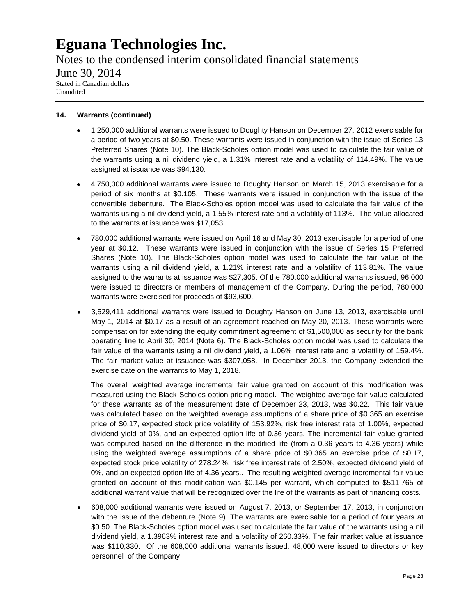Notes to the condensed interim consolidated financial statements June 30, 2014 Stated in Canadian dollars Unaudited

#### **14. Warrants (continued)**

- 1,250,000 additional warrants were issued to Doughty Hanson on December 27, 2012 exercisable for a period of two years at \$0.50. These warrants were issued in conjunction with the issue of Series 13 Preferred Shares (Note 10). The Black-Scholes option model was used to calculate the fair value of the warrants using a nil dividend yield, a 1.31% interest rate and a volatility of 114.49%. The value assigned at issuance was \$94,130.
- 4,750,000 additional warrants were issued to Doughty Hanson on March 15, 2013 exercisable for a period of six months at \$0.105. These warrants were issued in conjunction with the issue of the convertible debenture. The Black-Scholes option model was used to calculate the fair value of the warrants using a nil dividend yield, a 1.55% interest rate and a volatility of 113%. The value allocated to the warrants at issuance was \$17,053.
- 780,000 additional warrants were issued on April 16 and May 30, 2013 exercisable for a period of one year at \$0.12. These warrants were issued in conjunction with the issue of Series 15 Preferred Shares (Note 10). The Black-Scholes option model was used to calculate the fair value of the warrants using a nil dividend yield, a 1.21% interest rate and a volatility of 113.81%. The value assigned to the warrants at issuance was \$27,305. Of the 780,000 additional warrants issued, 96,000 were issued to directors or members of management of the Company. During the period, 780,000 warrants were exercised for proceeds of \$93,600.
- 3,529,411 additional warrants were issued to Doughty Hanson on June 13, 2013, exercisable until May 1, 2014 at \$0.17 as a result of an agreement reached on May 20, 2013. These warrants were compensation for extending the equity commitment agreement of \$1,500,000 as security for the bank operating line to April 30, 2014 (Note 6). The Black-Scholes option model was used to calculate the fair value of the warrants using a nil dividend yield, a 1.06% interest rate and a volatility of 159.4%. The fair market value at issuance was \$307,058. In December 2013, the Company extended the exercise date on the warrants to May 1, 2018.

The overall weighted average incremental fair value granted on account of this modification was measured using the Black-Scholes option pricing model. The weighted average fair value calculated for these warrants as of the measurement date of December 23, 2013, was \$0.22. This fair value was calculated based on the weighted average assumptions of a share price of \$0.365 an exercise price of \$0.17, expected stock price volatility of 153.92%, risk free interest rate of 1.00%, expected dividend yield of 0%, and an expected option life of 0.36 years. The incremental fair value granted was computed based on the difference in the modified life (from a 0.36 years to 4.36 years) while using the weighted average assumptions of a share price of \$0.365 an exercise price of \$0.17, expected stock price volatility of 278.24%, risk free interest rate of 2.50%, expected dividend yield of 0%, and an expected option life of 4.36 years.. The resulting weighted average incremental fair value granted on account of this modification was \$0.145 per warrant, which computed to \$511.765 of additional warrant value that will be recognized over the life of the warrants as part of financing costs.

608,000 additional warrants were issued on August 7, 2013, or September 17, 2013, in conjunction with the issue of the debenture (Note 9). The warrants are exercisable for a period of four years at \$0.50. The Black-Scholes option model was used to calculate the fair value of the warrants using a nil dividend yield, a 1.3963% interest rate and a volatility of 260.33%. The fair market value at issuance was \$110,330. Of the 608,000 additional warrants issued, 48,000 were issued to directors or key personnel of the Company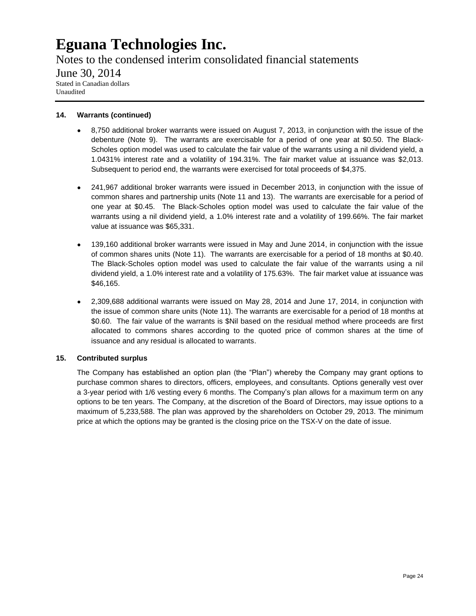Notes to the condensed interim consolidated financial statements June 30, 2014 Stated in Canadian dollars Unaudited

#### **14. Warrants (continued)**

- 8,750 additional broker warrants were issued on August 7, 2013, in conjunction with the issue of the  $\bullet$  . debenture (Note 9). The warrants are exercisable for a period of one year at \$0.50. The Black-Scholes option model was used to calculate the fair value of the warrants using a nil dividend yield, a 1.0431% interest rate and a volatility of 194.31%. The fair market value at issuance was \$2,013. Subsequent to period end, the warrants were exercised for total proceeds of \$4,375.
- 241,967 additional broker warrants were issued in December 2013, in conjunction with the issue of common shares and partnership units (Note 11 and 13). The warrants are exercisable for a period of one year at \$0.45. The Black-Scholes option model was used to calculate the fair value of the warrants using a nil dividend yield, a 1.0% interest rate and a volatility of 199.66%. The fair market value at issuance was \$65,331.
- 139,160 additional broker warrants were issued in May and June 2014, in conjunction with the issue  $\bullet$ of common shares units (Note 11). The warrants are exercisable for a period of 18 months at \$0.40. The Black-Scholes option model was used to calculate the fair value of the warrants using a nil dividend yield, a 1.0% interest rate and a volatility of 175.63%. The fair market value at issuance was \$46,165.
- 2,309,688 additional warrants were issued on May 28, 2014 and June 17, 2014, in conjunction with the issue of common share units (Note 11). The warrants are exercisable for a period of 18 months at \$0.60. The fair value of the warrants is \$Nil based on the residual method where proceeds are first allocated to commons shares according to the quoted price of common shares at the time of issuance and any residual is allocated to warrants.

#### **15. Contributed surplus**

The Company has established an option plan (the "Plan") whereby the Company may grant options to purchase common shares to directors, officers, employees, and consultants. Options generally vest over a 3-year period with 1/6 vesting every 6 months. The Company's plan allows for a maximum term on any options to be ten years. The Company, at the discretion of the Board of Directors, may issue options to a maximum of 5,233,588. The plan was approved by the shareholders on October 29, 2013. The minimum price at which the options may be granted is the closing price on the TSX-V on the date of issue.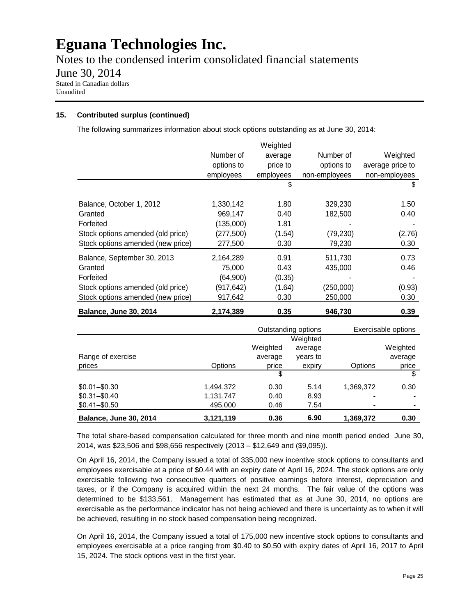Notes to the condensed interim consolidated financial statements

June 30, 2014

Stated in Canadian dollars Unaudited

#### **15. Contributed surplus (continued)**

The following summarizes information about stock options outstanding as at June 30, 2014:

|                                   |            | Weighted  |               |                  |
|-----------------------------------|------------|-----------|---------------|------------------|
|                                   | Number of  | average   | Number of     | Weighted         |
|                                   | options to | price to  | options to    | average price to |
|                                   | employees  | employees | non-employees | non-employees    |
|                                   |            | \$        |               | S                |
| Balance, October 1, 2012          | 1,330,142  | 1.80      | 329,230       | 1.50             |
| Granted                           | 969,147    | 0.40      | 182,500       | 0.40             |
| Forfeited                         | (135,000)  | 1.81      |               |                  |
| Stock options amended (old price) | (277, 500) | (1.54)    | (79, 230)     | (2.76)           |
| Stock options amended (new price) | 277,500    | 0.30      | 79,230        | 0.30             |
| Balance, September 30, 2013       | 2,164,289  | 0.91      | 511,730       | 0.73             |
| Granted                           | 75,000     | 0.43      | 435,000       | 0.46             |
| Forfeited                         | (64,900)   | (0.35)    |               |                  |
| Stock options amended (old price) | (917, 642) | (1.64)    | (250,000)     | (0.93)           |
| Stock options amended (new price) | 917,642    | 0.30      | 250,000       | 0.30             |
| <b>Balance, June 30, 2014</b>     | 2,174,389  | 0.35      | 946.730       | 0.39             |

|                               |           | Outstanding options |          |           | Exercisable options |
|-------------------------------|-----------|---------------------|----------|-----------|---------------------|
|                               |           |                     | Weighted |           |                     |
|                               |           | Weighted            | average  |           | Weighted            |
| Range of exercise             |           | average             | years to |           | average             |
| prices                        | Options   | price               | expiry   | Options   | price               |
|                               |           | \$                  |          |           | \$                  |
| $$0.01 - $0.30$               | 1.494.372 | 0.30                | 5.14     | 1,369,372 | 0.30                |
| $$0.31 - $0.40$               | 1,131,747 | 0.40                | 8.93     |           |                     |
| $$0.41 - $0.50$               | 495,000   | 0.46                | 7.54     |           |                     |
| <b>Balance, June 30, 2014</b> | 3,121,119 | 0.36                | 6.90     | 1,369,372 | 0.30                |

The total share-based compensation calculated for three month and nine month period ended June 30, 2014, was \$23,506 and \$98,656 respectively (2013 – \$12,649 and (\$9,095)).

On April 16, 2014, the Company issued a total of 335,000 new incentive stock options to consultants and employees exercisable at a price of \$0.44 with an expiry date of April 16, 2024. The stock options are only exercisable following two consecutive quarters of positive earnings before interest, depreciation and taxes, or if the Company is acquired within the next 24 months. The fair value of the options was determined to be \$133,561. Management has estimated that as at June 30, 2014, no options are exercisable as the performance indicator has not being achieved and there is uncertainty as to when it will be achieved, resulting in no stock based compensation being recognized.

On April 16, 2014, the Company issued a total of 175,000 new incentive stock options to consultants and employees exercisable at a price ranging from \$0.40 to \$0.50 with expiry dates of April 16, 2017 to April 15, 2024. The stock options vest in the first year.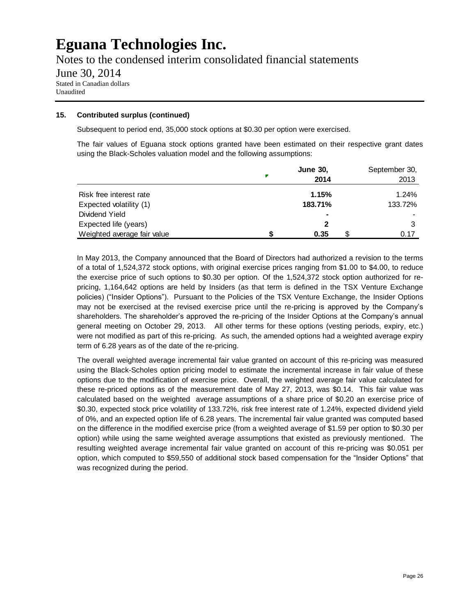Notes to the condensed interim consolidated financial statements June 30, 2014 Stated in Canadian dollars Unaudited

#### **15. Contributed surplus (continued)**

Subsequent to period end, 35,000 stock options at \$0.30 per option were exercised.

The fair values of Eguana stock options granted have been estimated on their respective grant dates using the Black-Scholes valuation model and the following assumptions:

|                             | <b>June 30.</b><br>2014 | September 30,<br>2013 |
|-----------------------------|-------------------------|-----------------------|
| Risk free interest rate     | 1.15%                   | 1.24%                 |
| Expected volatility (1)     | 183.71%                 | 133.72%               |
| Dividend Yield              | ٠                       |                       |
| Expected life (years)       |                         | 3                     |
| Weighted average fair value | 0.35                    | በ 17                  |

In May 2013, the Company announced that the Board of Directors had authorized a revision to the terms of a total of 1,524,372 stock options, with original exercise prices ranging from \$1.00 to \$4.00, to reduce the exercise price of such options to \$0.30 per option. Of the 1,524,372 stock option authorized for repricing, 1,164,642 options are held by Insiders (as that term is defined in the TSX Venture Exchange policies) ("Insider Options"). Pursuant to the Policies of the TSX Venture Exchange, the Insider Options may not be exercised at the revised exercise price until the re-pricing is approved by the Company's shareholders. The shareholder's approved the re-pricing of the Insider Options at the Company's annual general meeting on October 29, 2013. All other terms for these options (vesting periods, expiry, etc.) were not modified as part of this re-pricing. As such, the amended options had a weighted average expiry term of 6.28 years as of the date of the re-pricing.

The overall weighted average incremental fair value granted on account of this re-pricing was measured using the Black-Scholes option pricing model to estimate the incremental increase in fair value of these options due to the modification of exercise price. Overall, the weighted average fair value calculated for these re-priced options as of the measurement date of May 27, 2013, was \$0.14. This fair value was calculated based on the weighted average assumptions of a share price of \$0.20 an exercise price of \$0.30, expected stock price volatility of 133.72%, risk free interest rate of 1.24%, expected dividend yield of 0%, and an expected option life of 6.28 years. The incremental fair value granted was computed based on the difference in the modified exercise price (from a weighted average of \$1.59 per option to \$0.30 per option) while using the same weighted average assumptions that existed as previously mentioned. The resulting weighted average incremental fair value granted on account of this re-pricing was \$0.051 per option, which computed to \$59,550 of additional stock based compensation for the "Insider Options" that was recognized during the period.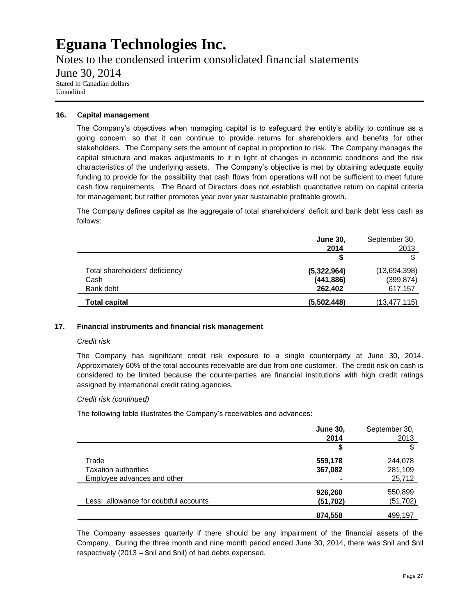Notes to the condensed interim consolidated financial statements June 30, 2014 Stated in Canadian dollars Unaudited

#### **16. Capital management**

The Company's objectives when managing capital is to safeguard the entity's ability to continue as a going concern, so that it can continue to provide returns for shareholders and benefits for other stakeholders. The Company sets the amount of capital in proportion to risk. The Company manages the capital structure and makes adjustments to it in light of changes in economic conditions and the risk characteristics of the underlying assets. The Company's objective is met by obtaining adequate equity funding to provide for the possibility that cash flows from operations will not be sufficient to meet future cash flow requirements. The Board of Directors does not establish quantitative return on capital criteria for management; but rather promotes year over year sustainable profitable growth.

The Company defines capital as the aggregate of total shareholders' deficit and bank debt less cash as follows:

|                                | <b>June 30,</b> | September 30,  |
|--------------------------------|-----------------|----------------|
|                                | 2014            | 2013           |
|                                |                 |                |
| Total shareholders' deficiency | (5,322,964)     | (13,694,398)   |
| Cash                           | (441, 886)      | (399, 874)     |
| Bank debt                      | 262,402         | 617,157        |
| Total capital                  | (5,502,448)     | (13, 477, 115) |

#### **17. Financial instruments and financial risk management**

#### *Credit risk*

The Company has significant credit risk exposure to a single counterparty at June 30, 2014. Approximately 60% of the total accounts receivable are due from one customer. The credit risk on cash is considered to be limited because the counterparties are financial institutions with high credit ratings assigned by international credit rating agencies.

#### *Credit risk (continued)*

The following table illustrates the Company's receivables and advances:

|                                       | <b>June 30,</b> | September 30, |
|---------------------------------------|-----------------|---------------|
|                                       | 2014            | 2013          |
|                                       | \$              | \$            |
| Trade                                 | 559,178         | 244,078       |
| <b>Taxation authorities</b>           | 367,082         | 281,109       |
| Employee advances and other           | $\blacksquare$  | 25,712        |
|                                       | 926,260         | 550,899       |
| Less: allowance for doubtful accounts | (51, 702)       | (51, 702)     |
|                                       | 874,558         | 499,197       |

The Company assesses quarterly if there should be any impairment of the financial assets of the Company. During the three month and nine month period ended June 30, 2014, there was \$nil and \$nil respectively (2013 – \$nil and \$nil) of bad debts expensed.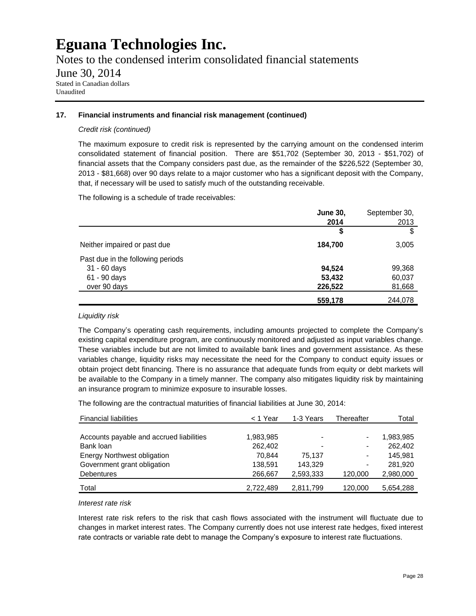Notes to the condensed interim consolidated financial statements

#### June 30, 2014

Stated in Canadian dollars Unaudited

#### **17. Financial instruments and financial risk management (continued)**

#### *Credit risk (continued)*

The maximum exposure to credit risk is represented by the carrying amount on the condensed interim consolidated statement of financial position. There are \$51,702 (September 30, 2013 - \$51,702) of financial assets that the Company considers past due, as the remainder of the \$226,522 (September 30, 2013 - \$81,668) over 90 days relate to a major customer who has a significant deposit with the Company, that, if necessary will be used to satisfy much of the outstanding receivable.

The following is a schedule of trade receivables:

|                                   | <b>June 30,</b> | September 30, |
|-----------------------------------|-----------------|---------------|
|                                   | 2014            | 2013          |
|                                   | \$              | \$            |
| Neither impaired or past due      | 184.700         | 3,005         |
| Past due in the following periods |                 |               |
| 31 - 60 days                      | 94,524          | 99,368        |
| 61 - 90 days                      | 53,432          | 60,037        |
| over 90 days                      | 226,522         | 81,668        |
|                                   | 559,178         | 244,078       |

#### *Liquidity risk*

The Company's operating cash requirements, including amounts projected to complete the Company's existing capital expenditure program, are continuously monitored and adjusted as input variables change. These variables include but are not limited to available bank lines and government assistance. As these variables change, liquidity risks may necessitate the need for the Company to conduct equity issues or obtain project debt financing. There is no assurance that adequate funds from equity or debt markets will be available to the Company in a timely manner. The company also mitigates liquidity risk by maintaining an insurance program to minimize exposure to insurable losses.

The following are the contractual maturities of financial liabilities at June 30, 2014:

| <b>Financial liabilities</b>             | $<$ 1 Year | 1-3 Years                | Thereafter               | Total     |
|------------------------------------------|------------|--------------------------|--------------------------|-----------|
|                                          |            |                          |                          |           |
| Accounts payable and accrued liabilities | 1,983,985  | $\blacksquare$           | $\overline{\phantom{0}}$ | 1,983,985 |
| Bank loan                                | 262,402    | $\overline{\phantom{0}}$ | $\blacksquare$           | 262,402   |
| Energy Northwest obligation              | 70.844     | 75.137                   | $\blacksquare$           | 145.981   |
| Government grant obligation              | 138.591    | 143.329                  | -                        | 281.920   |
| <b>Debentures</b>                        | 266,667    | 2,593,333                | 120,000                  | 2,980,000 |
| Total                                    | 2,722,489  | 2,811,799                | 120,000                  | 5,654,288 |

#### *Interest rate risk*

Interest rate risk refers to the risk that cash flows associated with the instrument will fluctuate due to changes in market interest rates. The Company currently does not use interest rate hedges, fixed interest rate contracts or variable rate debt to manage the Company's exposure to interest rate fluctuations.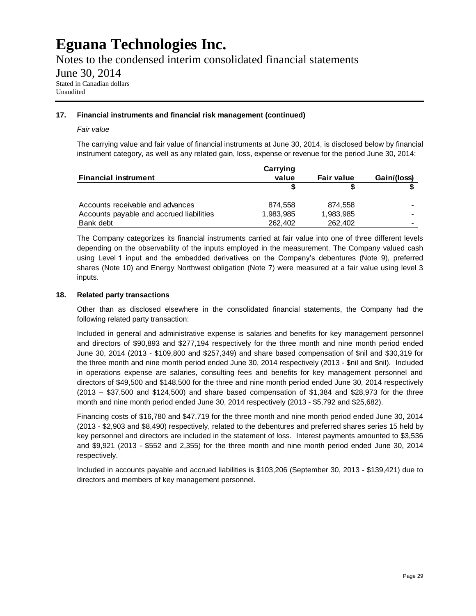Notes to the condensed interim consolidated financial statements

June 30, 2014

Stated in Canadian dollars Unaudited

#### **17. Financial instruments and financial risk management (continued)**

#### *Fair value*

The carrying value and fair value of financial instruments at June 30, 2014, is disclosed below by financial instrument category, as well as any related gain, loss, expense or revenue for the period June 30, 2014:

|                                          | Carrying  |                   |             |
|------------------------------------------|-----------|-------------------|-------------|
| <b>Financial instrument</b>              | value     | <b>Fair value</b> | Gain/(loss) |
|                                          |           |                   |             |
| Accounts receivable and advances         | 874.558   | 874.558           |             |
| Accounts payable and accrued liabilities | 1,983,985 | 1,983,985         |             |
| Bank debt                                | 262,402   | 262,402           | $\sim$      |

The Company categorizes its financial instruments carried at fair value into one of three different levels depending on the observability of the inputs employed in the measurement. The Company valued cash using Level 1 input and the embedded derivatives on the Company's debentures (Note 9), preferred shares (Note 10) and Energy Northwest obligation (Note 7) were measured at a fair value using level 3 inputs.

#### **18. Related party transactions**

Other than as disclosed elsewhere in the consolidated financial statements, the Company had the following related party transaction:

Included in general and administrative expense is salaries and benefits for key management personnel and directors of \$90,893 and \$277,194 respectively for the three month and nine month period ended June 30, 2014 (2013 - \$109,800 and \$257,349) and share based compensation of \$nil and \$30,319 for the three month and nine month period ended June 30, 2014 respectively (2013 - \$nil and \$nil). Included in operations expense are salaries, consulting fees and benefits for key management personnel and directors of \$49,500 and \$148,500 for the three and nine month period ended June 30, 2014 respectively (2013 – \$37,500 and \$124,500) and share based compensation of \$1,384 and \$28,973 for the three month and nine month period ended June 30, 2014 respectively (2013 - \$5,792 and \$25,682).

Financing costs of \$16,780 and \$47,719 for the three month and nine month period ended June 30, 2014 (2013 - \$2,903 and \$8,490) respectively, related to the debentures and preferred shares series 15 held by key personnel and directors are included in the statement of loss. Interest payments amounted to \$3,536 and \$9,921 (2013 - \$552 and 2,355) for the three month and nine month period ended June 30, 2014 respectively.

Included in accounts payable and accrued liabilities is \$103,206 (September 30, 2013 - \$139,421) due to directors and members of key management personnel.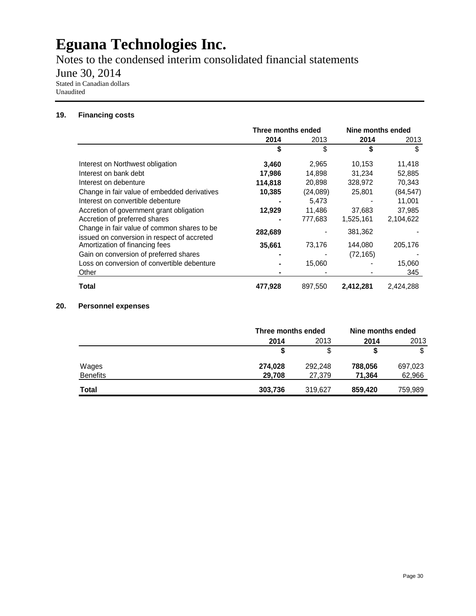Notes to the condensed interim consolidated financial statements

June 30, 2014

Stated in Canadian dollars Unaudited

#### **19. Financing costs**

|                                                                                            | Three months ended |          | Nine months ended |           |
|--------------------------------------------------------------------------------------------|--------------------|----------|-------------------|-----------|
|                                                                                            | 2014               | 2013     | 2014              | 2013      |
|                                                                                            | \$                 | \$       | \$                | \$        |
| Interest on Northwest obligation                                                           | 3,460              | 2,965    | 10,153            | 11,418    |
| Interest on bank debt                                                                      | 17,986             | 14,898   | 31,234            | 52,885    |
| Interest on debenture                                                                      | 114,818            | 20,898   | 328,972           | 70,343    |
| Change in fair value of embedded derivatives                                               | 10,385             | (24,089) | 25,801            | (84, 547) |
| Interest on convertible debenture                                                          |                    | 5,473    |                   | 11,001    |
| Accretion of government grant obligation                                                   | 12,929             | 11,486   | 37.683            | 37,985    |
| Accretion of preferred shares                                                              |                    | 777,683  | 1,525,161         | 2,104,622 |
| Change in fair value of common shares to be<br>issued on conversion in respect of accreted | 282,689            |          | 381,362           |           |
| Amortization of financing fees                                                             | 35,661             | 73,176   | 144,080           | 205,176   |
| Gain on conversion of preferred shares                                                     |                    |          | (72, 165)         |           |
| Loss on conversion of convertible debenture                                                |                    | 15,060   |                   | 15,060    |
| Other                                                                                      |                    |          |                   | 345       |
| Total                                                                                      | 477,928            | 897,550  | 2,412,281         | 2,424,288 |

#### **20. Personnel expenses**

|                 |         | Three months ended |         | Nine months ended |  |
|-----------------|---------|--------------------|---------|-------------------|--|
|                 | 2014    | 2013               | 2014    | 2013              |  |
|                 |         | \$                 |         | \$                |  |
| Wages           | 274,028 | 292,248            | 788,056 | 697,023           |  |
| <b>Benefits</b> | 29,708  | 27,379             | 71,364  | 62,966            |  |
| <b>Total</b>    | 303,736 | 319,627            | 859,420 | 759,989           |  |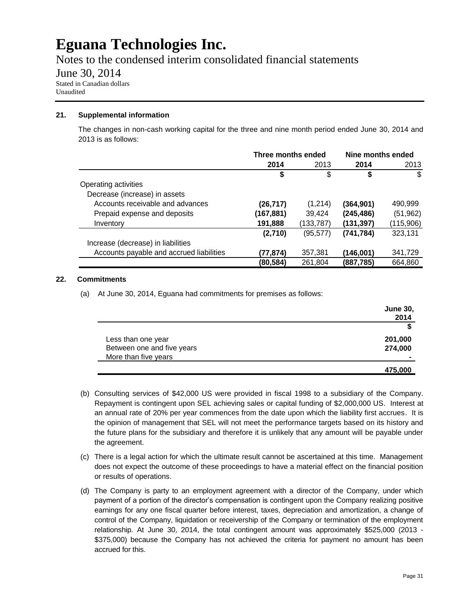Notes to the condensed interim consolidated financial statements

June 30, 2014

Stated in Canadian dollars Unaudited

#### **21. Supplemental information**

The changes in non-cash working capital for the three and nine month period ended June 30, 2014 and 2013 is as follows:

|                                          | Three months ended |           | Nine months ended |           |
|------------------------------------------|--------------------|-----------|-------------------|-----------|
|                                          | 2014               | 2013      | 2014              | 2013      |
|                                          | \$                 | \$        |                   | \$        |
| Operating activities                     |                    |           |                   |           |
| Decrease (increase) in assets            |                    |           |                   |           |
| Accounts receivable and advances         | (26, 717)          | (1,214)   | (364, 901)        | 490,999   |
| Prepaid expense and deposits             | (167,881)          | 39,424    | (245, 486)        | (51, 962) |
| Inventory                                | 191,888            | (133,787) | (131,397)         | (115,906) |
|                                          | (2,710)            | (95,577)  | (741, 784)        | 323,131   |
| Increase (decrease) in liabilities       |                    |           |                   |           |
| Accounts payable and accrued liabilities | (77,874)           | 357,381   | (146,001)         | 341,729   |
|                                          | (80,584)           | 261,804   | (887,785)         | 664,860   |

#### **22. Commitments**

(a) At June 30, 2014, Eguana had commitments for premises as follows:

|                            | <b>June 30,</b> |
|----------------------------|-----------------|
|                            | 2014            |
|                            |                 |
| Less than one year         | 201,000         |
| Between one and five years | 274,000         |
| More than five years       | ۰               |
|                            | 475,000         |

- (b) Consulting services of \$42,000 US were provided in fiscal 1998 to a subsidiary of the Company. Repayment is contingent upon SEL achieving sales or capital funding of \$2,000,000 US. Interest at an annual rate of 20% per year commences from the date upon which the liability first accrues. It is the opinion of management that SEL will not meet the performance targets based on its history and the future plans for the subsidiary and therefore it is unlikely that any amount will be payable under the agreement.
- (c) There is a legal action for which the ultimate result cannot be ascertained at this time. Management does not expect the outcome of these proceedings to have a material effect on the financial position or results of operations.
- (d) The Company is party to an employment agreement with a director of the Company, under which payment of a portion of the director's compensation is contingent upon the Company realizing positive earnings for any one fiscal quarter before interest, taxes, depreciation and amortization, a change of control of the Company, liquidation or receivership of the Company or termination of the employment relationship. At June 30, 2014, the total contingent amount was approximately \$525,000 (2013 - \$375,000) because the Company has not achieved the criteria for payment no amount has been accrued for this.